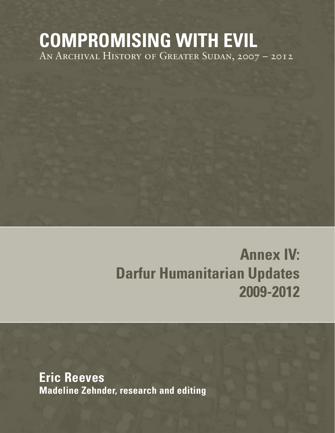## **COMPROMISING WITH EVIL** An Archival History of Greater Sudan, 2007 – 2012

# **Annex IV: Darfur Humanitarian Updates 2009-2012**

**Eric Reeves Madeline Zehnder, research and editing**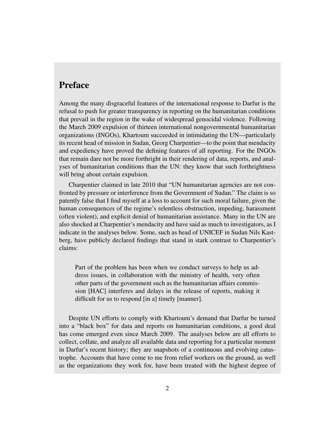## Preface

Among the many disgraceful features of the international response to Darfur is the refusal to push for greater transparency in reporting on the humanitarian conditions that prevail in the region in the wake of widespread genocidal violence. Following the March 2009 expulsion of thirteen international nongovernmental humanitarian organizations (INGOs), Khartoum succeeded in intimidating the UN—particularly its recent head of mission in Sudan, Georg Charpentier—to the point that mendacity and expediency have proved the defining features of all reporting. For the INGOs that remain dare not be more forthright in their rendering of data, reports, and analyses of humanitarian conditions than the UN: they know that such forthrightness will bring about certain expulsion.

Charpentier claimed in late 2010 that "UN humanitarian agencies are not confronted by pressure or interference from the Government of Sudan." The claim is so patently false that I find myself at a loss to account for such moral failure, given the human consequences of the regime's relentless obstruction, impeding, harassment (often violent), and explicit denial of humanitarian assistance. Many in the UN are also shocked at Charpentier's mendacity and have said as much to investigators, as I indicate in the analyses below. Some, such as head of UNICEF in Sudan Nils Kastberg, have publicly declared findings that stand in stark contrast to Charpentier's claims:

Part of the problem has been when we conduct surveys to help us address issues, in collaboration with the ministry of health, very often other parts of the government such as the humanitarian affairs commission [HAC] interferes and delays in the release of reports, making it difficult for us to respond [in a] timely [manner].

Despite UN efforts to comply with Khartoum's demand that Darfur be turned into a "black box" for data and reports on humanitarian conditions, a good deal has come emerged even since March 2009. The analyses below are all efforts to collect, collate, and analyze all available data and reporting for a particular moment in Darfur's recent history; they are snapshots of a continuous and evolving catastrophe. Accounts that have come to me from relief workers on the ground, as well as the organizations they work for, have been treated with the highest degree of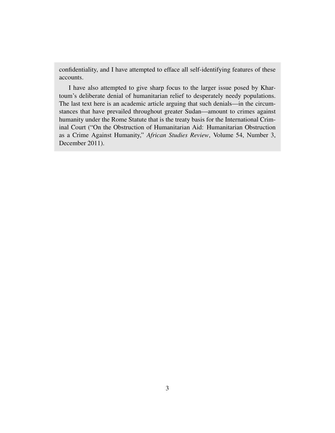confidentiality, and I have attempted to efface all self-identifying features of these accounts.

I have also attempted to give sharp focus to the larger issue posed by Khartoum's deliberate denial of humanitarian relief to desperately needy populations. The last text here is an academic article arguing that such denials—in the circumstances that have prevailed throughout greater Sudan—amount to crimes against humanity under the Rome Statute that is the treaty basis for the International Criminal Court ("On the Obstruction of Humanitarian Aid: Humanitarian Obstruction as a Crime Against Humanity," *African Studies Review*, Volume 54, Number 3, December 2011).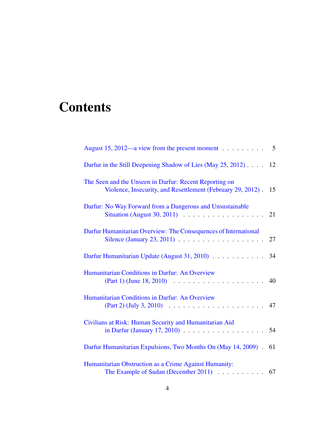## **Contents**

| August 15, 2012—a view from the present moment $\dots \dots$<br>5                                                                                   |
|-----------------------------------------------------------------------------------------------------------------------------------------------------|
| Darfur in the Still Deepening Shadow of Lies (May 25, 2012)<br>12                                                                                   |
| The Seen and the Unseen in Darfur: Recent Reporting on<br>Violence, Insecurity, and Resettlement (February 29, 2012).<br>15                         |
| Darfur: No Way Forward from a Dangerous and Unsustainable                                                                                           |
| Darfur Humanitarian Overview: The Consequences of International<br>Silence (January 23, 2011) $\ldots \ldots \ldots \ldots \ldots \ldots \ldots 27$ |
| Darfur Humanitarian Update (August 31, 2010)<br>34                                                                                                  |
| Humanitarian Conditions in Darfur: An Overview<br>$(Part 1) (June 18, 2010)      $<br>40                                                            |
| Humanitarian Conditions in Darfur: An Overview<br>$(Part 2)$ (July 3, 2010) $\ldots \ldots \ldots \ldots \ldots \ldots \ldots 47$                   |
| Civilians at Risk: Human Security and Humanitarian Aid                                                                                              |
| Darfur Humanitarian Expulsions, Two Months On (May 14, 2009) . 61                                                                                   |
| Humanitarian Obstruction as a Crime Against Humanity:<br>The Example of Sudan (December 2011) 67                                                    |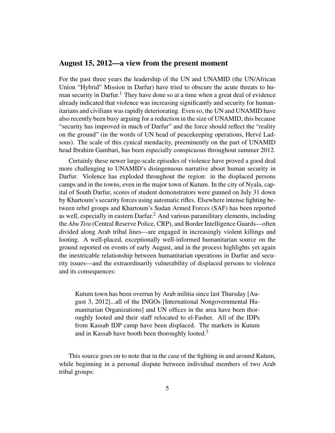#### <span id="page-4-0"></span>August 15, 2012—a view from the present moment

For the past three years the leadership of the UN and UNAMID (the UN/African Union "Hybrid" Mission in Darfur) have tried to obscure the acute threats to hu-man security in Darfur.<sup>[1](#page-74-0)</sup> They have done so at a time when a great deal of evidence already indicated that violence was increasing significantly and security for humanitarians and civilians was rapidly deteriorating. Even so, the UN and UNAMID have also recently been busy arguing for a reduction in the size of UNAMID, this because "security has improved in much of Darfur" and the force should reflect the "reality on the ground" (in the words of UN head of peacekeeping operations, Herve Lad- ´ sous). The scale of this cynical mendacity, preeminently on the part of UNAMID head Ibrahim Gambari, has been especially conspicuous throughout summer 2012.

Certainly these newer large-scale episodes of violence have proved a good deal more challenging to UNAMID's disingenuous narrative about human security in Darfur. Violence has exploded throughout the region: in the displaced persons camps and in the towns, even in the major town of Kutum. In the city of Nyala, capital of South Darfur, scores of student demonstrators were gunned on July 31 down by Khartoum's security forces using automatic rifles. Elsewhere intense fighting between rebel groups and Khartoum's Sudan Armed Forces (SAF) has been reported as well, especially in eastern  $\text{Darfur}^2$  $\text{Darfur}^2$  And various paramilitary elements, including the *Abu Tira* (Central Reserve Police, CRP), and Border Intelligence Guards—often divided along Arab tribal lines—are engaged in increasingly violent killings and looting. A well-placed, exceptionally well-informed humanitarian source on the ground reported on events of early August, and in the process highlights yet again the inextricable relationship between humanitarian operations in Darfur and security issues—and the extraordinarily vulnerability of displaced persons to violence and its consequences:

Kutum town has been overrun by Arab militia since last Thursday [August 3, 2012]...all of the INGOs [International Nongovernmental Humanitarian Organizations] and UN offices in the area have been thoroughly looted and their staff relocated to el-Fasher. All of the IDPs from Kassab IDP camp have been displaced. The markets in Kutum and in Kassab have booth been thoroughly looted.<sup>[3](#page-74-2)</sup>

This source goes on to note that in the case of the fighting in and around Kutum, while beginning in a personal dispute between individual members of two Arab tribal groups: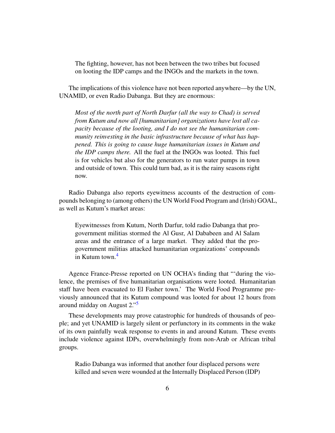The fighting, however, has not been between the two tribes but focused on looting the IDP camps and the INGOs and the markets in the town.

The implications of this violence have not been reported anywhere—by the UN, UNAMID, or even Radio Dabanga. But they are enormous:

*Most of the north part of North Darfur (all the way to Chad) is served from Kutum and now all [humanitarian] organizations have lost all capacity because of the looting, and I do not see the humanitarian community reinvesting in the basic infrastructure because of what has happened. This is going to cause huge humanitarian issues in Kutum and the IDP camps there.* All the fuel at the INGOs was looted. This fuel is for vehicles but also for the generators to run water pumps in town and outside of town. This could turn bad, as it is the rainy seasons right now.

Radio Dabanga also reports eyewitness accounts of the destruction of compounds belonging to (among others) the UN World Food Program and (Irish) GOAL, as well as Kutum's market areas:

Eyewitnesses from Kutum, North Darfur, told radio Dabanga that progovernment militias stormed the Al Gusr, Al Dababeen and Al Salam areas and the entrance of a large market. They added that the progovernment militias attacked humanitarian organizations' compounds in Kutum town.[4](#page-74-3)

Agence France-Presse reported on UN OCHA's finding that "'during the violence, the premises of five humanitarian organisations were looted. Humanitarian staff have been evacuated to El Fasher town.' The World Food Programme previously announced that its Kutum compound was looted for about 12 hours from around midday on August 2."[5](#page-74-4)

These developments may prove catastrophic for hundreds of thousands of people; and yet UNAMID is largely silent or perfunctory in its comments in the wake of its own painfully weak response to events in and around Kutum. These events include violence against IDPs, overwhelmingly from non-Arab or African tribal groups.

Radio Dabanga was informed that another four displaced persons were killed and seven were wounded at the Internally Displaced Person (IDP)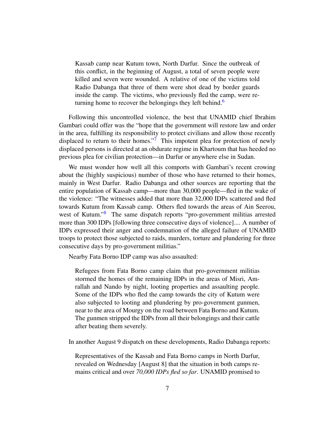Kassab camp near Kutum town, North Darfur. Since the outbreak of this conflict, in the beginning of August, a total of seven people were killed and seven were wounded. A relative of one of the victims told Radio Dabanga that three of them were shot dead by border guards inside the camp. The victims, who previously fled the camp, were re-turning home to recover the belongings they left behind.<sup>[6](#page-74-5)</sup>

Following this uncontrolled violence, the best that UNAMID chief Ibrahim Gambari could offer was the "hope that the government will restore law and order in the area, fulfilling its responsibility to protect civilians and allow those recently displaced to return to their homes."<sup>[7](#page-74-6)</sup> This impotent plea for protection of newly displaced persons is directed at an obdurate regime in Khartoum that has heeded no previous plea for civilian protection—in Darfur or anywhere else in Sudan.

We must wonder how well all this comports with Gambari's recent crowing about the (highly suspicious) number of those who have returned to their homes, mainly in West Darfur. Radio Dabanga and other sources are reporting that the entire population of Kassab camp—more than 30,000 people—fled in the wake of the violence: "The witnesses added that more than 32,000 IDPs scattered and fled towards Kutum from Kassab camp. Others fled towards the areas of Ain Seerou, west of Kutum.<sup>3[8](#page-74-7)</sup> The same dispatch reports "pro-government militias arrested more than 300 IDPs [following three consecutive days of violence].... A number of IDPs expressed their anger and condemnation of the alleged failure of UNAMID troops to protect those subjected to raids, murders, torture and plundering for three consecutive days by pro-government militias."

Nearby Fata Borno IDP camp was also assaulted:

Refugees from Fata Borno camp claim that pro-government militias stormed the homes of the remaining IDPs in the areas of Misri, Amrallah and Nando by night, looting properties and assaulting people. Some of the IDPs who fled the camp towards the city of Kutum were also subjected to looting and plundering by pro-government gunmen, near to the area of Mourgy on the road between Fata Borno and Kutum. The gunmen stripped the IDPs from all their belongings and their cattle after beating them severely.

In another August 9 dispatch on these developments, Radio Dabanga reports:

Representatives of the Kassab and Fata Borno camps in North Darfur, revealed on Wednesday [August 8] that the situation in both camps remains critical and over *70,000 IDPs fled so far*. UNAMID promised to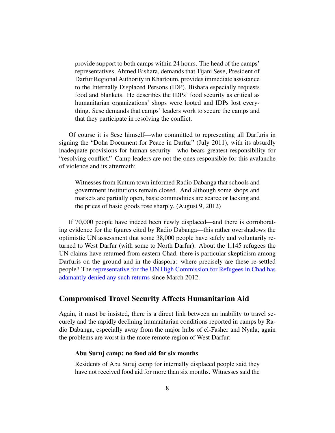provide support to both camps within 24 hours. The head of the camps' representatives, Ahmed Bishara, demands that Tijani Sese, President of Darfur Regional Authority in Khartoum, provides immediate assistance to the Internally Displaced Persons (IDP). Bishara especially requests food and blankets. He describes the IDPs' food security as critical as humanitarian organizations' shops were looted and IDPs lost everything. Sese demands that camps' leaders work to secure the camps and that they participate in resolving the conflict.

Of course it is Sese himself—who committed to representing all Darfuris in signing the "Doha Document for Peace in Darfur" (July 2011), with its absurdly inadequate provisions for human security—who bears greatest responsibility for "resolving conflict." Camp leaders are not the ones responsible for this avalanche of violence and its aftermath:

Witnesses from Kutum town informed Radio Dabanga that schools and government institutions remain closed. And although some shops and markets are partially open, basic commodities are scarce or lacking and the prices of basic goods rose sharply. (August 9, 2012)

If 70,000 people have indeed been newly displaced—and there is corroborating evidence for the figures cited by Radio Dabanga—this rather overshadows the optimistic UN assessment that some 38,000 people have safely and voluntarily returned to West Darfur (with some to North Darfur). About the 1,145 refugees the UN claims have returned from eastern Chad, there is particular skepticism among Darfuris on the ground and in the diaspora: where precisely are these re-settled people? The [representative for the UN High Commission for Refugees in Chad has](http://www.sudanreeves.org/2012/04/15/obduracy-at-the-new-york-times-refusal-to-acknowledge-errors-or-problems-in-the-representation-of-realities-in-west-darfur/) [adamantly denied any such returns](http://www.sudanreeves.org/2012/04/15/obduracy-at-the-new-york-times-refusal-to-acknowledge-errors-or-problems-in-the-representation-of-realities-in-west-darfur/) since March 2012.

#### Compromised Travel Security Affects Humanitarian Aid

Again, it must be insisted, there is a direct link between an inability to travel securely and the rapidly declining humanitarian conditions reported in camps by Radio Dabanga, especially away from the major hubs of el-Fasher and Nyala; again the problems are worst in the more remote region of West Darfur:

#### Abu Suruj camp: no food aid for six months

Residents of Abu Suruj camp for internally displaced people said they have not received food aid for more than six months. Witnesses said the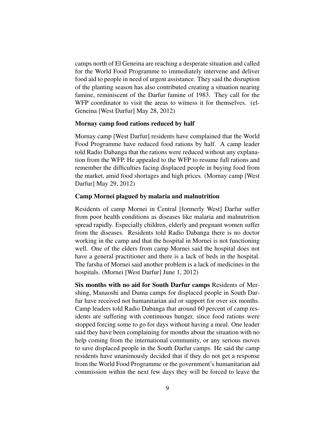camps north of El Geneina are reaching a desperate situation and called for the World Food Programme to immediately intervene and deliver food aid to people in need of urgent assistance. They said the disruption of the planting season has also contributed creating a situation nearing famine, reminiscent of the Darfur famine of 1983. They call for the WFP coordinator to visit the areas to witness it for themselves. (el-Geneina [West Darfur] May 28, 2012)

#### Mornay camp food rations reduced by half

Mornay camp [West Darfur] residents have complained that the World Food Programme have reduced food rations by half. A camp leader told Radio Dabanga that the rations were reduced without any explanation from the WFP. He appealed to the WFP to resume full rations and remember the difficulties facing displaced people in buying food from the market, amid food shortages and high prices. (Mornay camp [West Darfur] May 29, 2012)

#### Camp Mornei plagued by malaria and malnutrition

Residents of camp Mornei in Central [formerly West] Darfur suffer from poor health conditions as diseases like malaria and malnutrition spread rapidly. Especially children, elderly and pregnant women suffer from the diseases. Residents told Radio Dabanga there is no doctor working in the camp and that the hospital in Mornei is not functioning well. One of the elders from camp Mornei said the hospital does not have a general practitioner and there is a lack of beds in the hospital. The farsha of Mornei said another problem is a lack of medicines in the hospitals. (Mornei [West Darfur] June 1, 2012)

Six months with no aid for South Darfur camps Residents of Mershing, Manaoshi and Duma camps for displaced people in South Darfur have received not humanitarian aid or support for over six months. Camp leaders told Radio Dabanga that around 60 percent of camp residents are suffering with continuous hunger, since food rations were stopped forcing some to go for days without having a meal. One leader said they have been complaining for months about the situation with no help coming from the international community, or any serious moves to save displaced people in the South Darfur camps. He said the camp residents have unanimously decided that if they do not get a response from the World Food Programme or the government's humanitarian aid commission within the next few days they will be forced to leave the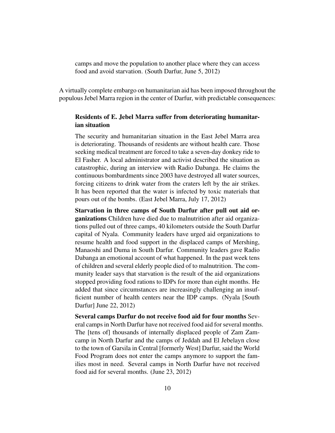camps and move the population to another place where they can access food and avoid starvation. (South Darfur, June 5, 2012)

A virtually complete embargo on humanitarian aid has been imposed throughout the populous Jebel Marra region in the center of Darfur, with predictable consequences:

#### Residents of E. Jebel Marra suffer from deteriorating humanitarian situation

The security and humanitarian situation in the East Jebel Marra area is deteriorating. Thousands of residents are without health care. Those seeking medical treatment are forced to take a seven-day donkey ride to El Fasher. A local administrator and activist described the situation as catastrophic, during an interview with Radio Dabanga. He claims the continuous bombardments since 2003 have destroyed all water sources, forcing citizens to drink water from the craters left by the air strikes. It has been reported that the water is infected by toxic materials that pours out of the bombs. (East Jebel Marra, July 17, 2012)

Starvation in three camps of South Darfur after pull out aid organizations Children have died due to malnutrition after aid organizations pulled out of three camps, 40 kilometers outside the South Darfur capital of Nyala. Community leaders have urged aid organizations to resume health and food support in the displaced camps of Mershing, Manaoshi and Duma in South Darfur. Community leaders gave Radio Dabanga an emotional account of what happened. In the past week tens of children and several elderly people died of to malnutrition. The community leader says that starvation is the result of the aid organizations stopped providing food rations to IDPs for more than eight months. He added that since circumstances are increasingly challenging an insufficient number of health centers near the IDP camps. (Nyala [South Darfur] June 22, 2012)

Several camps Darfur do not receive food aid for four months Several camps in North Darfur have not received food aid for several months. The [tens of] thousands of internally displaced people of Zam Zamcamp in North Darfur and the camps of Jeddah and El Jebelayn close to the town of Garsila in Central [formerly West] Darfur, said the World Food Program does not enter the camps anymore to support the families most in need. Several camps in North Darfur have not received food aid for several months. (June 23, 2012)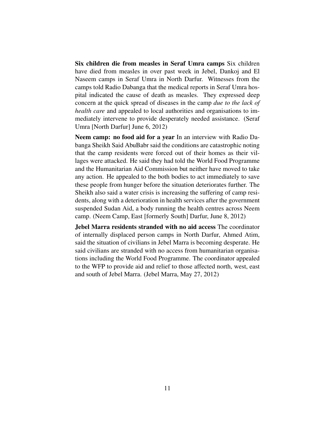Six children die from measles in Seraf Umra camps Six children have died from measles in over past week in Jebel, Dankoj and El Naseem camps in Seraf Umra in North Darfur. Witnesses from the camps told Radio Dabanga that the medical reports in Seraf Umra hospital indicated the cause of death as measles. They expressed deep concern at the quick spread of diseases in the camp *due to the lack of health care* and appealed to local authorities and organisations to immediately intervene to provide desperately needed assistance. (Seraf Umra [North Darfur] June 6, 2012)

Neem camp: no food aid for a year In an interview with Radio Dabanga Sheikh Said AbuBabr said the conditions are catastrophic noting that the camp residents were forced out of their homes as their villages were attacked. He said they had told the World Food Programme and the Humanitarian Aid Commission but neither have moved to take any action. He appealed to the both bodies to act immediately to save these people from hunger before the situation deteriorates further. The Sheikh also said a water crisis is increasing the suffering of camp residents, along with a deterioration in health services after the government suspended Sudan Aid, a body running the health centres across Neem camp. (Neem Camp, East [formerly South] Darfur, June 8, 2012)

Jebel Marra residents stranded with no aid access The coordinator of internally displaced person camps in North Darfur, Ahmed Atim, said the situation of civilians in Jebel Marra is becoming desperate. He said civilians are stranded with no access from humanitarian organisations including the World Food Programme. The coordinator appealed to the WFP to provide aid and relief to those affected north, west, east and south of Jebel Marra. (Jebel Marra, May 27, 2012)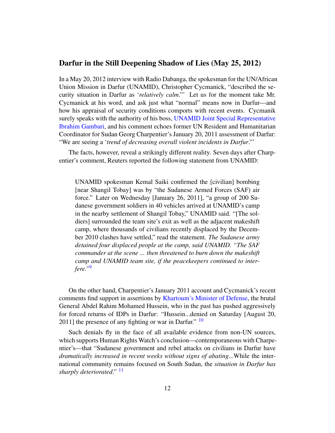#### <span id="page-11-0"></span>Darfur in the Still Deepening Shadow of Lies (May 25, 2012)

In a May 20, 2012 interview with Radio Dabanga, the spokesman for the UN/African Union Mission in Darfur (UNAMID), Christopher Cycmanick, "described the security situation in Darfur as '*relatively calm*."' Let us for the moment take Mr. Cycmanick at his word, and ask just what "normal" means now in Darfur—and how his appraisal of security conditions comports with recent events. Cycmanik surely speaks with the authority of his boss, [UNAMID Joint Special Representative](http://www.sudanreeves.org/2011/09/19/the-uns-man-in-darfur-the-expedient-mendacity-of-ibrahim-gambari/) [Ibrahim Gambari,](http://www.sudanreeves.org/2011/09/19/the-uns-man-in-darfur-the-expedient-mendacity-of-ibrahim-gambari/) and his comment echoes former UN Resident and Humanitarian Coordinator for Sudan Georg Charpentier's January 20, 2011 assessment of Darfur: "We are seeing a '*trend of decreasing overall violent incidents in Darfur*."'

The facts, however, reveal a strikingly different reality. Seven days after Charpentier's comment, Reuters reported the following statement from UNAMID:

UNAMID spokesman Kemal Saiki confirmed the [civilian] bombing [near Shangil Tobay] was by "the Sudanese Armed Forces (SAF) air force." Later on Wednesday [January 26, 2011], "a group of 200 Sudanese government soldiers in 40 vehicles arrived at UNAMID's camp in the nearby settlement of Shangil Tobay," UNAMID said. "[The soldiers] surrounded the team site's exit as well as the adjacent makeshift camp, where thousands of civilians recently displaced by the December 2010 clashes have settled," read the statement. *The Sudanese army detained four displaced people at the camp, said UNAMID. "The SAF commander at the scene ... then threatened to burn down the makeshift camp and UNAMID team site, if the peacekeepers continued to interfere."*[9](#page-74-8)

On the other hand, Charpentier's January 2011 account and Cycmanick's recent comments find support in assertions by [Khartoum's Minister of Defense,](http://www.radiodabanga.org/node/17668) the brutal General Abdel Rahim Mohamed Hussein, who in the past has pushed aggressively for forced returns of IDPs in Darfur: "Hussein...denied on Saturday [August 20, 2011] the presence of any fighting or war in Darfur."  $\frac{10}{2}$  $\frac{10}{2}$  $\frac{10}{2}$ 

Such denials fly in the face of all available evidence from non-UN sources, which supports Human Rights Watch's conclusion—contemporaneous with Charpentier's—that "Sudanese government and rebel attacks on civilians in Darfur have *dramatically increased in recent weeks without signs of abating*...While the international community remains focused on South Sudan, the *situation in Darfur has sharply deteriorated*." <sup>[11](#page-74-10)</sup>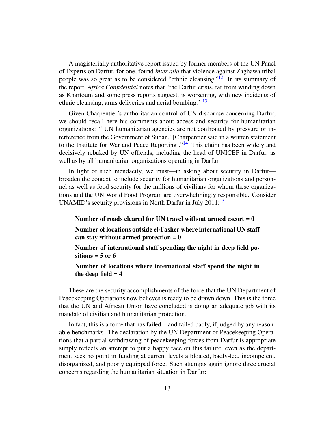A magisterially authoritative report issued by former members of the UN Panel of Experts on Darfur, for one, found *inter alia* that violence against Zaghawa tribal people was so great as to be considered "ethnic cleansing."<sup>[12](#page-74-11)</sup> In its summary of the report, *Africa Confidential* notes that "the Darfur crisis, far from winding down as Khartoum and some press reports suggest, is worsening, with new incidents of ethnic cleansing, arms deliveries and aerial bombing." <sup>[13](#page-74-12)</sup>

Given Charpentier's authoritarian control of UN discourse concerning Darfur, we should recall here his comments about access and security for humanitarian organizations: "'UN humanitarian agencies are not confronted by pressure or interference from the Government of Sudan,' [Charpentier said in a written statement to the Institute for War and Peace Reporting]."[14](#page-74-13) This claim has been widely and decisively rebuked by UN officials, including the head of UNICEF in Darfur, as well as by all humanitarian organizations operating in Darfur.

In light of such mendacity, we must—in asking about security in Darfur broaden the context to include security for humanitarian organizations and personnel as well as food security for the millions of civilians for whom these organizations and the UN World Food Program are overwhelmingly responsible. Consider UNAMID's security provisions in North Darfur in July 2011:<sup>[15](#page-74-14)</sup>

#### Number of roads cleared for UN travel without armed escort  $= 0$

Number of locations outside el-Fasher where international UN staff can stay without armed protection  $= 0$ 

Number of international staff spending the night in deep field positions  $= 5$  or 6

#### Number of locations where international staff spend the night in the deep field  $= 4$

These are the security accomplishments of the force that the UN Department of Peacekeeping Operations now believes is ready to be drawn down. This is the force that the UN and African Union have concluded is doing an adequate job with its mandate of civilian and humanitarian protection.

In fact, this is a force that has failed—and failed badly, if judged by any reasonable benchmarks. The declaration by the UN Department of Peacekeeping Operations that a partial withdrawing of peacekeeping forces from Darfur is appropriate simply reflects an attempt to put a happy face on this failure, even as the department sees no point in funding at current levels a bloated, badly-led, incompetent, disorganized, and poorly equipped force. Such attempts again ignore three crucial concerns regarding the humanitarian situation in Darfur: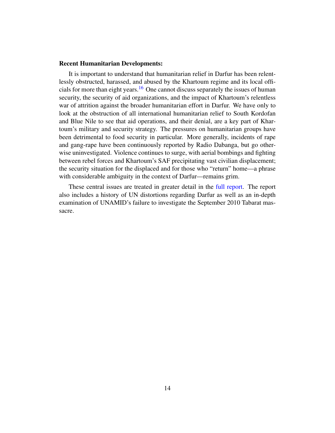#### Recent Humanitarian Developments:

It is important to understand that humanitarian relief in Darfur has been relentlessly obstructed, harassed, and abused by the Khartoum regime and its local offi-cials for more than eight years.<sup>[16](#page-74-15)</sup> One cannot discuss separately the issues of human security, the security of aid organizations, and the impact of Khartoum's relentless war of attrition against the broader humanitarian effort in Darfur. We have only to look at the obstruction of all international humanitarian relief to South Kordofan and Blue Nile to see that aid operations, and their denial, are a key part of Khartoum's military and security strategy. The pressures on humanitarian groups have been detrimental to food security in particular. More generally, incidents of rape and gang-rape have been continuously reported by Radio Dabanga, but go otherwise uninvestigated. Violence continues to surge, with aerial bombings and fighting between rebel forces and Khartoum's SAF precipitating vast civilian displacement; the security situation for the displaced and for those who "return" home—a phrase with considerable ambiguity in the context of Darfur—remains grim.

These central issues are treated in greater detail in the [full report.](http://www.sudanreeves.org/2012/05/25/darfur-in-the-still-deepening-shadow-of-lies/ ) The report also includes a history of UN distortions regarding Darfur as well as an in-depth examination of UNAMID's failure to investigate the September 2010 Tabarat massacre.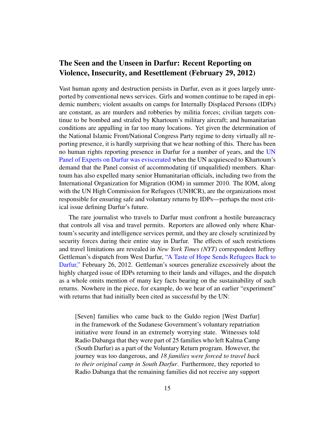## <span id="page-14-0"></span>The Seen and the Unseen in Darfur: Recent Reporting on Violence, Insecurity, and Resettlement (February 29, 2012)

Vast human agony and destruction persists in Darfur, even as it goes largely unreported by conventional news services. Girls and women continue to be raped in epidemic numbers; violent assaults on camps for Internally Displaced Persons (IDPs) are constant, as are murders and robberies by militia forces; civilian targets continue to be bombed and strafed by Khartoum's military aircraft; and humanitarian conditions are appalling in far too many locations. Yet given the determination of the National Islamic Front/National Congress Party regime to deny virtually all reporting presence, it is hardly surprising that we hear nothing of this. There has been no human rights reporting presence in Darfur for a number of years, and the [UN](http://www.dissentmagazine.org/atw.php?id=561) [Panel of Experts on Darfur was eviscerated](http://www.dissentmagazine.org/atw.php?id=561) when the UN acquiesced to Khartoum's demand that the Panel consist of accommodating (if unqualified) members. Khartoum has also expelled many senior Humanitarian officials, including two from the International Organization for Migration (IOM) in summer 2010. The IOM, along with the UN High Commission for Refugees (UNHCR), are the organizations most responsible for ensuring safe and voluntary returns by IDPs—perhaps the most critical issue defining Darfur's future.

The rare journalist who travels to Darfur must confront a hostile bureaucracy that controls all visa and travel permits. Reporters are allowed only where Khartoum's security and intelligence services permit, and they are closely scrutinized by security forces during their entire stay in Darfur. The effects of such restrictions and travel limitations are revealed in *New York Times (NYT)* correspondent Jeffrey Gettleman's dispatch from West Darfur, ["A Taste of Hope Sends Refugees Back to](http://www.nytimes.com/2012/02/27/world/africa/darfur-refugees-returning-home.html?pagewanted=all) [Darfur,"](http://www.nytimes.com/2012/02/27/world/africa/darfur-refugees-returning-home.html?pagewanted=all) February 26, 2012. Gettleman's sources generalize excessively about the highly charged issue of IDPs returning to their lands and villages, and the dispatch as a whole omits mention of many key facts bearing on the sustainability of such returns. Nowhere in the piece, for example, do we hear of an earlier "experiment" with returns that had initially been cited as successful by the UN:

[Seven] families who came back to the Guldo region [West Darfur] in the framework of the Sudanese Government's voluntary repatriation initiative were found in an extremely worrying state. Witnesses told Radio Dabanga that they were part of 25 families who left Kalma Camp (South Darfur) as a part of the Voluntary Return program. However, the journey was too dangerous, and *18 families were forced to travel back to their original camp in South Darfur*. Furthermore, they reported to Radio Dabanga that the remaining families did not receive any support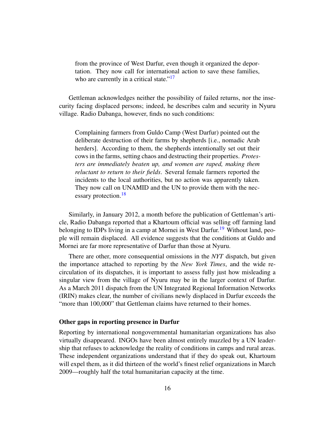from the province of West Darfur, even though it organized the deportation. They now call for international action to save these families, who are currently in a critical state." $17$ 

Gettleman acknowledges neither the possibility of failed returns, nor the insecurity facing displaced persons; indeed, he describes calm and security in Nyuru village. Radio Dabanga, however, finds no such conditions:

Complaining farmers from Guldo Camp (West Darfur) pointed out the deliberate destruction of their farms by shepherds [i.e., nomadic Arab herders]. According to them, the shepherds intentionally set out their cows in the farms, setting chaos and destructing their properties. *Protesters are immediately beaten up, and women are raped, making them reluctant to return to their fields*. Several female farmers reported the incidents to the local authorities, but no action was apparently taken. They now call on UNAMID and the UN to provide them with the nec-essary protection.<sup>[18](#page-74-17)</sup>

Similarly, in January 2012, a month before the publication of Gettleman's article, Radio Dabanga reported that a Khartoum official was selling off farming land belonging to IDPs living in a camp at Mornei in West Darfur.<sup>[19](#page-74-18)</sup> Without land, people will remain displaced. All evidence suggests that the conditions at Guldo and Mornei are far more representative of Darfur than those at Nyuru.

There are other, more consequential omissions in the *NYT* dispatch, but given the importance attached to reporting by the *New York Times*, and the wide recirculation of its dispatches, it is important to assess fully just how misleading a singular view from the village of Nyuru may be in the larger context of Darfur. As a March 2011 dispatch from the UN Integrated Regional Information Networks (IRIN) makes clear, the number of civilians newly displaced in Darfur exceeds the "more than 100,000" that Gettleman claims have returned to their homes.

#### Other gaps in reporting presence in Darfur

Reporting by international nongovernmental humanitarian organizations has also virtually disappeared. INGOs have been almost entirely muzzled by a UN leadership that refuses to acknowledge the reality of conditions in camps and rural areas. These independent organizations understand that if they do speak out, Khartoum will expel them, as it did thirteen of the world's finest relief organizations in March 2009—roughly half the total humanitarian capacity at the time.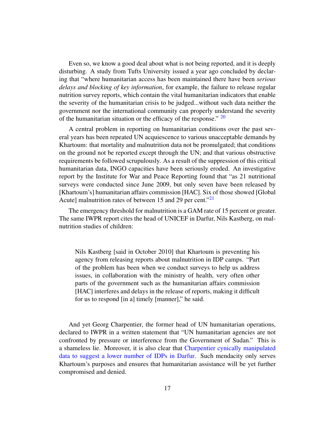Even so, we know a good deal about what is not being reported, and it is deeply disturbing. A study from Tufts University issued a year ago concluded by declaring that "where humanitarian access has been maintained there have been *serious delays and blocking of key information*, for example, the failure to release regular nutrition survey reports, which contain the vital humanitarian indicators that enable the severity of the humanitarian crisis to be judged...without such data neither the government nor the international community can properly understand the severity of the humanitarian situation or the efficacy of the response."  $20$ 

A central problem in reporting on humanitarian conditions over the past several years has been repeated UN acquiescence to various unacceptable demands by Khartoum: that mortality and malnutrition data not be promulgated; that conditions on the ground not be reported except through the UN; and that various obstructive requirements be followed scrupulously. As a result of the suppression of this critical humanitarian data, INGO capacities have been seriously eroded. An investigative report by the Institute for War and Peace Reporting found that "as 21 nutritional surveys were conducted since June 2009, but only seven have been released by [Khartoum's] humanitarian affairs commission [HAC]. Six of those showed [Global Acute] malnutrition rates of between 15 and 29 per cent.<sup>"[21](#page-74-20)</sup>

The emergency threshold for malnutrition is a GAM rate of 15 percent or greater. The same IWPR report cites the head of UNICEF in Darfur, Nils Kastberg, on malnutrition studies of children:

Nils Kastberg [said in October 2010] that Khartoum is preventing his agency from releasing reports about malnutrition in IDP camps. "Part of the problem has been when we conduct surveys to help us address issues, in collaboration with the ministry of health, very often other parts of the government such as the humanitarian affairs commission [HAC] interferes and delays in the release of reports, making it difficult for us to respond [in a] timely [manner]," he said.

And yet Georg Charpentier, the former head of UN humanitarian operations, declared to IWPR in a written statement that "UN humanitarian agencies are not confronted by pressure or interference from the Government of Sudan." This is a shameless lie. Moreover, it is also clear that [Charpentier cynically manipulated](http://www.dissentmagazine.org/atw.php?id=438) [data to suggest a lower number of IDPs in Darfur.](http://www.dissentmagazine.org/atw.php?id=438) Such mendacity only serves Khartoum's purposes and ensures that humanitarian assistance will be yet further compromised and denied.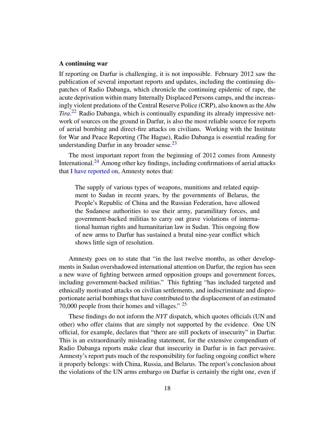#### A continuing war

If reporting on Darfur is challenging, it is not impossible. February 2012 saw the publication of several important reports and updates, including the continuing dispatches of Radio Dabanga, which chronicle the continuing epidemic of rape, the acute deprivation within many Internally Displaced Persons camps, and the increasingly violent predations of the Central Reserve Police (CRP), also known as the *Abu Tira*. [22](#page-74-21) Radio Dabanga, which is continually expanding its already impressive network of sources on the ground in Darfur, is also the most reliable source for reports of aerial bombing and direct-fire attacks on civilians. Working with the Institute for War and Peace Reporting (The Hague), Radio Dabanga is essential reading for understanding Darfur in any broader sense. $^{23}$  $^{23}$  $^{23}$ 

The most important report from the beginning of 2012 comes from Amnesty International.<sup>[24](#page-75-0)</sup> Among other key findings, including confirmations of aerial attacks that [I have reported on,](www.sudanbombing.org) Amnesty notes that:

The supply of various types of weapons, munitions and related equipment to Sudan in recent years, by the governments of Belarus, the People's Republic of China and the Russian Federation, have allowed the Sudanese authorities to use their army, paramilitary forces, and government-backed militias to carry out grave violations of international human rights and humanitarian law in Sudan. This ongoing flow of new arms to Darfur has sustained a brutal nine-year conflict which shows little sign of resolution.

Amnesty goes on to state that "in the last twelve months, as other developments in Sudan overshadowed international attention on Darfur, the region has seen a new wave of fighting between armed opposition groups and government forces, including government-backed militias." This fighting "has included targeted and ethnically motivated attacks on civilian settlements, and indiscriminate and disproportionate aerial bombings that have contributed to the displacement of an estimated 70,000 people from their homes and villages." [25](#page-75-1)

These findings do not inform the *NYT* dispatch, which quotes officials (UN and other) who offer claims that are simply not supported by the evidence. One UN official, for example, declares that "there are still pockets of insecurity" in Darfur. This is an extraordinarily misleading statement, for the extensive compendium of Radio Dabanga reports make clear that insecurity in Darfur is in fact pervasive. Amnesty's report puts much of the responsibility for fueling ongoing conflict where it properly belongs: with China, Russia, and Belarus. The report's conclusion about the violations of the UN arms embargo on Darfur is certainly the right one, even if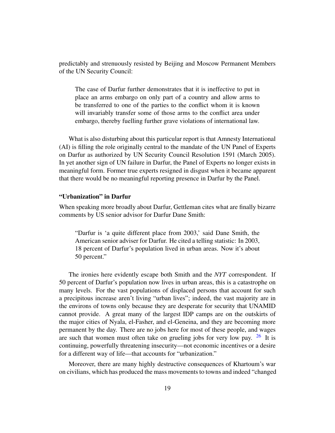predictably and strenuously resisted by Beijing and Moscow Permanent Members of the UN Security Council:

The case of Darfur further demonstrates that it is ineffective to put in place an arms embargo on only part of a country and allow arms to be transferred to one of the parties to the conflict whom it is known will invariably transfer some of those arms to the conflict area under embargo, thereby fuelling further grave violations of international law.

What is also disturbing about this particular report is that Amnesty International (AI) is filling the role originally central to the mandate of the UN Panel of Experts on Darfur as authorized by UN Security Council Resolution 1591 (March 2005). In yet another sign of UN failure in Darfur, the Panel of Experts no longer exists in meaningful form. Former true experts resigned in disgust when it became apparent that there would be no meaningful reporting presence in Darfur by the Panel.

#### "Urbanization" in Darfur

When speaking more broadly about Darfur, Gettleman cites what are finally bizarre comments by US senior advisor for Darfur Dane Smith:

"Darfur is 'a quite different place from 2003,' said Dane Smith, the American senior adviser for Darfur. He cited a telling statistic: In 2003, 18 percent of Darfur's population lived in urban areas. Now it's about 50 percent."

The ironies here evidently escape both Smith and the *NYT* correspondent. If 50 percent of Darfur's population now lives in urban areas, this is a catastrophe on many levels. For the vast populations of displaced persons that account for such a precipitous increase aren't living "urban lives"; indeed, the vast majority are in the environs of towns only because they are desperate for security that UNAMID cannot provide. A great many of the largest IDP camps are on the outskirts of the major cities of Nyala, el-Fasher, and el-Geneina, and they are becoming more permanent by the day. There are no jobs here for most of these people, and wages are such that women must often take on grueling jobs for very low pay.  $26$  It is continuing, powerfully threatening insecurity—not economic incentives or a desire for a different way of life—that accounts for "urbanization."

Moreover, there are many highly destructive consequences of Khartoum's war on civilians, which has produced the mass movements to towns and indeed "changed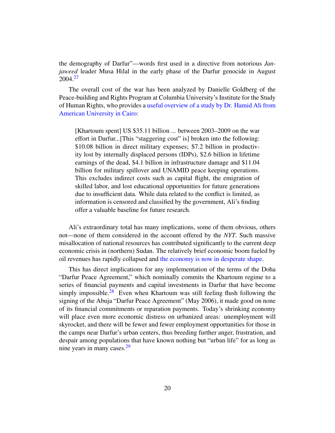the demography of Darfur"—words first used in a directive from notorious *Janjaweed* leader Musa Hilal in the early phase of the Darfur genocide in August 2004.[27](#page-75-3)

The overall cost of the war has been analyzed by Danielle Goldberg of the Peace-building and Rights Program at Columbia University's Institute for the Study of Human Rights, who provides a [useful overview of a study by Dr. Hamid Ali from](http://www.africa.com/blog/blog,measuring_the_cost_of_war_in_darfur,522.html) [American University in Cairo:](http://www.africa.com/blog/blog,measuring_the_cost_of_war_in_darfur,522.html)

[Khartoum spent] US \$35.11 billion ... between 2003–2009 on the war effort in Darfur...[This "staggering cost" is] broken into the following: \$10.08 billion in direct military expenses; \$7.2 billion in productivity lost by internally displaced persons (IDPs), \$2.6 billion in lifetime earnings of the dead, \$4.1 billion in infrastructure damage and \$11.04 billion for military spillover and UNAMID peace keeping operations. This excludes indirect costs such as capital flight, the emigration of skilled labor, and lost educational opportunities for future generations due to insufficient data. While data related to the conflict is limited, as information is censored and classified by the government, Ali's finding offer a valuable baseline for future research.

Ali's extraordinary total has many implications, some of them obvious, others not—none of them considered in the account offered by the *NYT*. Such massive misallocation of national resources has contributed significantly to the current deep economic crisis in (northern) Sudan. The relatively brief economic boom fueled by oil revenues has rapidly collapsed and [the economy is now in desperate shape.](http://www.news24.com/Africa/News/Crisis-looms-in-Sudan-20120226)

This has direct implications for any implementation of the terms of the Doha "Darfur Peace Agreement," which nominally commits the Khartoum regime to a series of financial payments and capital investments in Darfur that have become simply impossible. $28$  Even when Khartoum was still feeling flush following the signing of the Abuja "Darfur Peace Agreement" (May 2006), it made good on none of its financial commitments or reparation payments. Today's shrinking economy will place even more economic distress on urbanized areas: unemployment will skyrocket, and there will be fewer and fewer employment opportunities for those in the camps near Darfur's urban centers, thus breeding further anger, frustration, and despair among populations that have known nothing but "urban life" for as long as nine years in many cases.<sup>[29](#page-75-5)</sup>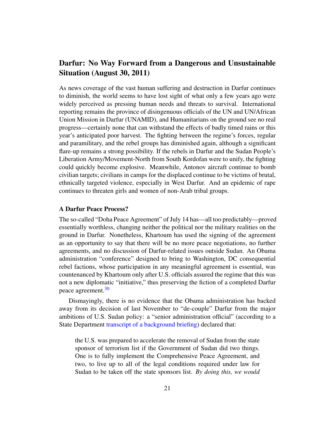## <span id="page-20-0"></span>Darfur: No Way Forward from a Dangerous and Unsustainable Situation (August 30, 2011)

As news coverage of the vast human suffering and destruction in Darfur continues to diminish, the world seems to have lost sight of what only a few years ago were widely perceived as pressing human needs and threats to survival. International reporting remains the province of disingenuous officials of the UN and UN/African Union Mission in Darfur (UNAMID), and Humanitarians on the ground see no real progress—certainly none that can withstand the effects of badly timed rains or this year's anticipated poor harvest. The fighting between the regime's forces, regular and paramilitary, and the rebel groups has diminished again, although a significant flare-up remains a strong possibility. If the rebels in Darfur and the Sudan People's Liberation Army/Movement-North from South Kordofan were to unify, the fighting could quickly become explosive. Meanwhile, Antonov aircraft continue to bomb civilian targets; civilians in camps for the displaced continue to be victims of brutal, ethnically targeted violence, especially in West Darfur. And an epidemic of rape continues to threaten girls and women of non-Arab tribal groups.

#### A Darfur Peace Process?

The so-called "Doha Peace Agreement" of July 14 has—all too predictably—proved essentially worthless, changing neither the political nor the military realities on the ground in Darfur. Nonetheless, Khartoum has used the signing of the agreement as an opportunity to say that there will be no more peace negotiations, no further agreements, and no discussion of Darfur-related issues outside Sudan. An Obama administration "conference" designed to bring to Washington, DC consequential rebel factions, whose participation in any meaningful agreement is essential, was countenanced by Khartoum only after U.S. officials assured the regime that this was not a new diplomatic "initiative," thus preserving the fiction of a completed Darfur peace agreement.<sup>[30](#page-75-6)</sup>

Dismayingly, there is no evidence that the Obama administration has backed away from its decision of last November to "de-couple" Darfur from the major ambitions of U.S. Sudan policy: a "senior administration official" (according to a State Department [transcript of a background briefing\)](http://geneva.usmission.gov/2010/11/09/senior-administration-officials-on-developments-in-sudan/) declared that:

the U.S. was prepared to accelerate the removal of Sudan from the state sponsor of terrorism list if the Government of Sudan did two things. One is to fully implement the Comprehensive Peace Agreement, and two, to live up to all of the legal conditions required under law for Sudan to be taken off the state sponsors list. *By doing this, we would*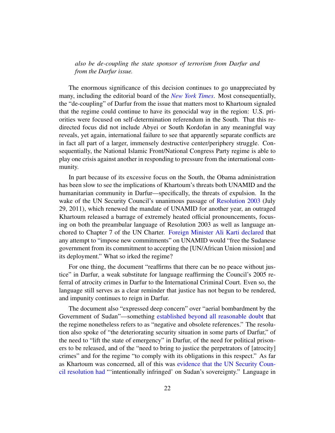*also be de-coupling the state sponsor of terrorism from Darfur and from the Darfur issue.*

The enormous significance of this decision continues to go unappreciated by many, including the editorial board of the *[New York Times](http://www.sudanreeves.org/2011/08/30/2011/08/28/2576/)*. Most consequentially, the "de-coupling" of Darfur from the issue that matters most to Khartoum signaled that the regime could continue to have its genocidal way in the region: U.S. priorities were focused on self-determination referendum in the South. That this redirected focus did not include Abyei or South Kordofan in any meaningful way reveals, yet again, international failure to see that apparently separate conflicts are in fact all part of a larger, immensely destructive center/periphery struggle. Consequentially, the National Islamic Front/National Congress Party regime is able to play one crisis against another in responding to pressure from the international community.

In part because of its excessive focus on the South, the Obama administration has been slow to see the implications of Khartoum's threats both UNAMID and the humanitarian community in Darfur—specifically, the threats of expulsion. In the wake of the UN Security Council's unanimous passage of [Resolution 2003](http://www.un.org/Docs/sc/unsc_resolutions11.htm) (July 29, 2011), which renewed the mandate of UNAMID for another year, an outraged Khartoum released a barrage of extremely heated official pronouncements, focusing on both the preambular language of Resolution 2003 as well as language anchored to Chapter 7 of the UN Charter. [Foreign Minister Ali Karti declared](http://reliefweb.int/node/438605) that any attempt to "impose new commitments" on UNAMID would "free the Sudanese government from its commitment to accepting the [UN/African Union mission] and its deployment." What so irked the regime?

For one thing, the document "reaffirms that there can be no peace without justice" in Darfur, a weak substitute for language reaffirming the Council's 2005 referral of atrocity crimes in Darfur to the International Criminal Court. Even so, the language still serves as a clear reminder that justice has not begun to be rendered, and impunity continues to reign in Darfur.

The document also "expressed deep concern" over "aerial bombardment by the Government of Sudan"—something [established beyond all reasonable doubt](http://www.sudanbombing.org/) that the regime nonetheless refers to as "negative and obsolete references." The resolution also spoke of "the deteriorating security situation in some parts of Darfur," of the need to "lift the state of emergency" in Darfur, of the need for political prisoners to be released, and of the "need to bring to justice the perpetrators of [atrocity] crimes" and for the regime "to comply with its obligations in this respect." As far as Khartoum was concerned, all of this was [evidence that the UN Security Coun](http://reliefweb.int/node/438605)[cil resolution had](http://reliefweb.int/node/438605) "'intentionally infringed' on Sudan's sovereignty." Language in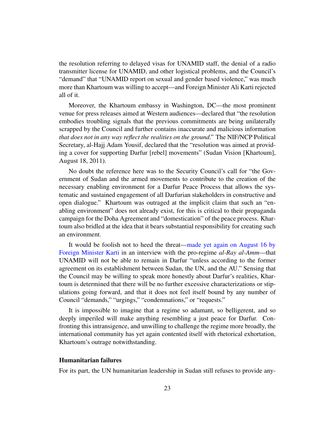the resolution referring to delayed visas for UNAMID staff, the denial of a radio transmitter license for UNAMID, and other logistical problems, and the Council's "demand" that "UNAMID report on sexual and gender based violence," was much more than Khartoum was willing to accept—and Foreign Minister Ali Karti rejected all of it.

Moreover, the Khartoum embassy in Washington, DC—the most prominent venue for press releases aimed at Western audiences—declared that "the resolution embodies troubling signals that the previous commitments are being unilaterally scrapped by the Council and further contains inaccurate and malicious information *that does not in any way reflect the realities on the ground*." The NIF/NCP Political Secretary, al-Hajj Adam Yousif, declared that the "resolution was aimed at providing a cover for supporting Darfur [rebel] movements" (Sudan Vision [Khartoum], August 18, 2011).

No doubt the reference here was to the Security Council's call for "the Government of Sudan and the armed movements to contribute to the creation of the necessary enabling environment for a Darfur Peace Process that allows the systematic and sustained engagement of all Darfurian stakeholders in constructive and open dialogue." Khartoum was outraged at the implicit claim that such an "enabling environment" does not already exist, for this is critical to their propaganda campaign for the Doha Agreement and "domestication" of the peace process. Khartoum also bridled at the idea that it bears substantial responsibility for creating such an environment.

It would be foolish not to heed the threat[—made yet again on August 16 by](http://www.sudantribune.com/spip.php?iframe&page=imprimable&id_article=39871) [Foreign Minister Karti](http://www.sudantribune.com/spip.php?iframe&page=imprimable&id_article=39871) in an interview with the pro-regime *al-Ray al-Amm*—that UNAMID will not be able to remain in Darfur "unless according to the former agreement on its establishment between Sudan, the UN, and the AU." Sensing that the Council may be willing to speak more honestly about Darfur's realities, Khartoum is determined that there will be no further excessive characterizations or stipulations going forward, and that it does not feel itself bound by any number of Council "demands," "urgings," "condemnations," or "requests."

It is impossible to imagine that a regime so adamant, so belligerent, and so deeply imperiled will make anything resembling a just peace for Darfur. Confronting this intransigence, and unwilling to challenge the regime more broadly, the international community has yet again contented itself with rhetorical exhortation, Khartoum's outrage notwithstanding.

#### Humanitarian failures

For its part, the UN humanitarian leadership in Sudan still refuses to provide any-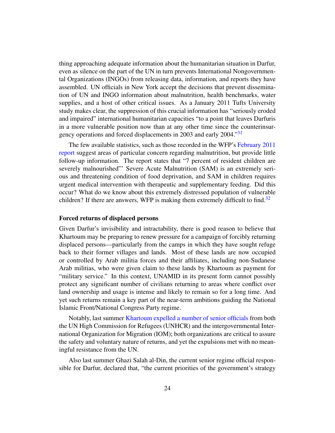thing approaching adequate information about the humanitarian situation in Darfur, even as silence on the part of the UN in turn prevents International Nongovernmental Organizations (INGOs) from releasing data, information, and reports they have assembled. UN officials in New York accept the decisions that prevent dissemination of UN and INGO information about malnutrition, health benchmarks, water supplies, and a host of other critical issues. As a January 2011 Tufts University study makes clear, the suppression of this crucial information has "seriously eroded and impaired" international humanitarian capacities "to a point that leaves Darfuris in a more vulnerable position now than at any other time since the counterinsur-gency operations and forced displacements in 2003 and early 2004.<sup>[31](#page-75-7)</sup>

The few available statistics, such as those recorded in the WFP's [February 2011](http://reliefweb.int/node/401680) [report](http://reliefweb.int/node/401680) suggest areas of particular concern regarding malnutrition, but provide little follow-up information. The report states that "7 percent of resident children are severely malnourished"' Severe Acute Malnutrition (SAM) is an extremely serious and threatening condition of food deprivation, and SAM in children requires urgent medical intervention with therapeutic and supplementary feeding. Did this occur? What do we know about this extremely distressed population of vulnerable children? If there are answers, WFP is making them extremely difficult to find.<sup>[32](#page-75-8)</sup>

#### Forced returns of displaced persons

Given Darfur's invisibility and intractability, there is good reason to believe that Khartoum may be preparing to renew pressure for a campaign of forcibly returning displaced persons—particularly from the camps in which they have sought refuge back to their former villages and lands. Most of these lands are now occupied or controlled by Arab militia forces and their affiliates, including non-Sudanese Arab militias, who were given claim to these lands by Khartoum as payment for "military service." In this context, UNAMID in its present form cannot possibly protect any significant number of civilians returning to areas where conflict over land ownership and usage is intense and likely to remain so for a long time. And yet such returns remain a key part of the near-term ambitions guiding the National Islamic Front/National Congress Party regime.

Notably, last summer [Khartoum expelled a number of senior officials](http://www.sudantribune.com/Sudan-expels-five-aid-workers-from,35973) from both the UN High Commission for Refugees (UNHCR) and the intergovernmental International Organization for Migration (IOM); both organizations are critical to assure the safety and voluntary nature of returns, and yet the expulsions met with no meaningful resistance from the UN.

Also last summer Ghazi Salah al-Din, the current senior regime official responsible for Darfur, declared that, "the current priorities of the government's strategy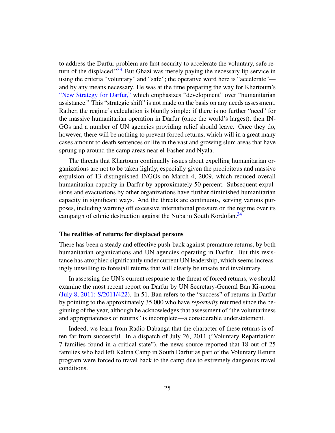to address the Darfur problem are first security to accelerate the voluntary, safe return of the displaced." $33$  But Ghazi was merely paying the necessary lip service in using the criteria "voluntary" and "safe"; the operative word here is "accelerate" and by any means necessary. He was at the time preparing the way for Khartoum's ["New Strategy for Darfur,"](http://www.dissentmagazine.org/online.php?id=394) which emphasizes "development" over "humanitarian assistance." This "strategic shift" is not made on the basis on any needs assessment. Rather, the regime's calculation is bluntly simple: if there is no further "need" for the massive humanitarian operation in Darfur (once the world's largest), then IN-GOs and a number of UN agencies providing relief should leave. Once they do, however, there will be nothing to prevent forced returns, which will in a great many cases amount to death sentences or life in the vast and growing slum areas that have sprung up around the camp areas near el-Fasher and Nyala.

The threats that Khartoum continually issues about expelling humanitarian organizations are not to be taken lightly, especially given the precipitous and massive expulsion of 13 distinguished INGOs on March 4, 2009, which reduced overall humanitarian capacity in Darfur by approximately 50 percent. Subsequent expulsions and evacuations by other organizations have further diminished humanitarian capacity in significant ways. And the threats are continuous, serving various purposes, including warning off excessive international pressure on the regime over its campaign of ethnic destruction against the Nuba in South Kordofan.<sup>[34](#page-75-10)</sup>

#### The realities of returns for displaced persons

There has been a steady and effective push-back against premature returns, by both humanitarian organizations and UN agencies operating in Darfur. But this resistance has atrophied significantly under current UN leadership, which seems increasingly unwilling to forestall returns that will clearly be unsafe and involuntary.

In assessing the UN's current response to the threat of forced returns, we should examine the most recent report on Darfur by UN Secretary-General Ban Ki-moon [\(July 8, 2011; S/2011/422\)](http://www.un.org/Docs/sc/unsc_resolutions11.htm). In 51, Ban refers to the "success" of returns in Darfur by pointing to the approximately 35,000 who have *reportedly* returned since the beginning of the year, although he acknowledges that assessment of "the voluntariness and appropriateness of returns" is incomplete—a considerable understatement.

Indeed, we learn from Radio Dabanga that the character of these returns is often far from successful. In a dispatch of July 26, 2011 ("Voluntary Repatriation: 7 families found in a critical state"), the news source reported that 18 out of 25 families who had left Kalma Camp in South Darfur as part of the Voluntary Return program were forced to travel back to the camp due to extremely dangerous travel conditions.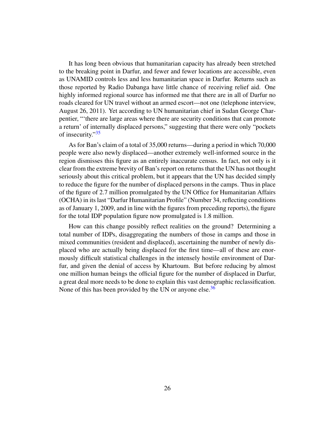It has long been obvious that humanitarian capacity has already been stretched to the breaking point in Darfur, and fewer and fewer locations are accessible, even as UNAMID controls less and less humanitarian space in Darfur. Returns such as those reported by Radio Dabanga have little chance of receiving relief aid. One highly informed regional source has informed me that there are in all of Darfur no roads cleared for UN travel without an armed escort—not one (telephone interview, August 26, 2011). Yet according to UN humanitarian chief in Sudan George Charpentier, "'there are large areas where there are security conditions that can promote a return' of internally displaced persons," suggesting that there were only "pockets of insecurity."<sup>[35](#page-75-11)</sup>

As for Ban's claim of a total of 35,000 returns—during a period in which 70,000 people were also newly displaced—another extremely well-informed source in the region dismisses this figure as an entirely inaccurate census. In fact, not only is it clear from the extreme brevity of Ban's report on returns that the UN has not thought seriously about this critical problem, but it appears that the UN has decided simply to reduce the figure for the number of displaced persons in the camps. Thus in place of the figure of 2.7 million promulgated by the UN Office for Humanitarian Affairs (OCHA) in its last "Darfur Humanitarian Profile" (Number 34, reflecting conditions as of January 1, 2009, and in line with the figures from preceding reports), the figure for the total IDP population figure now promulgated is 1.8 million.

How can this change possibly reflect realities on the ground? Determining a total number of IDPs, disaggregating the numbers of those in camps and those in mixed communities (resident and displaced), ascertaining the number of newly displaced who are actually being displaced for the first time—all of these are enormously difficult statistical challenges in the intensely hostile environment of Darfur, and given the denial of access by Khartoum. But before reducing by almost one million human beings the official figure for the number of displaced in Darfur, a great deal more needs to be done to explain this vast demographic reclassification. None of this has been provided by the UN or anyone else.<sup>[36](#page-75-12)</sup>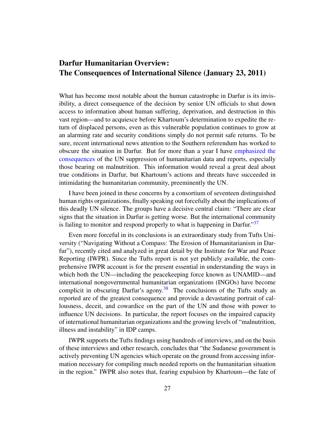## <span id="page-26-0"></span>Darfur Humanitarian Overview: The Consequences of International Silence (January 23, 2011)

What has become most notable about the human catastrophe in Darfur is its invisibility, a direct consequence of the decision by senior UN officials to shut down access to information about human suffering, deprivation, and destruction in this vast region—and to acquiesce before Khartoum's determination to expedite the return of displaced persons, even as this vulnerable population continues to grow at an alarming rate and security conditions simply do not permit safe returns. To be sure, recent international news attention to the Southern referendum has worked to obscure the situation in Darfur. But for more than a year I have [emphasized the](http://www.sudanreeves.org/Article254.html ) [consequences](http://www.sudanreeves.org/Article254.html ) of the UN suppression of humanitarian data and reports, especially those bearing on malnutrition. This information would reveal a great deal about true conditions in Darfur, but Khartoum's actions and threats have succeeded in intimidating the humanitarian community, preeminently the UN.

I have been joined in these concerns by a consortium of seventeen distinguished human rights organizations, finally speaking out forcefully about the implications of this deadly UN silence. The groups have a decisive central claim: "There are clear signs that the situation in Darfur is getting worse. But the international community is failing to monitor and respond properly to what is happening in Darfur."<sup>[37](#page-75-13)</sup>

Even more forceful in its conclusions is an extraordinary study from Tufts University ("Navigating Without a Compass: The Erosion of Humanitarianism in Darfur"), recently cited and analyzed in great detail by the Institute for War and Peace Reporting (IWPR). Since the Tufts report is not yet publicly available, the comprehensive IWPR account is for the present essential in understanding the ways in which both the UN—including the peace keeping force known as UNAMID—and international nongovernmental humanitarian organizations (INGOs) have become complicit in obscuring Darfur's agony.<sup>[38](#page-75-14)</sup> The conclusions of the Tufts study as reported are of the greatest consequence and provide a devastating portrait of callousness, deceit, and cowardice on the part of the UN and those with power to influence UN decisions. In particular, the report focuses on the impaired capacity of international humanitarian organizations and the growing levels of "malnutrition, illness and instability" in IDP camps.

IWPR supports the Tufts findings using hundreds of interviews, and on the basis of these interviews and other research, concludes that "the Sudanese government is actively preventing UN agencies which operate on the ground from accessing information necessary for compiling much needed reports on the humanitarian situation in the region." IWPR also notes that, fearing expulsion by Khartoum—the fate of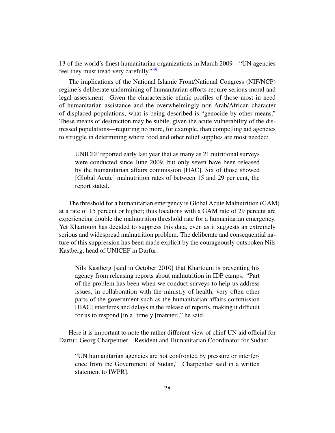13 of the world's finest humanitarian organizations in March 2009—"UN agencies feel they must tread very carefully."<sup>[39](#page-75-15)</sup>

The implications of the National Islamic Front/National Congress (NIF/NCP) regime's deliberate undermining of humanitarian efforts require serious moral and legal assessment. Given the characteristic ethnic profiles of those most in need of humanitarian assistance and the overwhelmingly non-Arab/African character of displaced populations, what is being described is "genocide by other means." These means of destruction may be subtle, given the acute vulnerability of the distressed populations—requiring no more, for example, than compelling aid agencies to struggle in determining where food and other relief supplies are most needed:

UNICEF reported early last year that as many as 21 nutritional surveys were conducted since June 2009, but only seven have been released by the humanitarian affairs commission [HAC]. Six of those showed [Global Acute] malnutrition rates of between 15 and 29 per cent, the report stated.

The threshold for a humanitarian emergency is Global Acute Malnutrition (GAM) at a rate of 15 percent or higher; thus locations with a GAM rate of 29 percent are experiencing double the malnutrition threshold rate for a humanitarian emergency. Yet Khartoum has decided to suppress this data, even as it suggests an extremely serious and widespread malnutrition problem. The deliberate and consequential nature of this suppression has been made explicit by the courageously outspoken Nils Kastberg, head of UNICEF in Darfur:

Nils Kastberg [said in October 2010] that Khartoum is preventing his agency from releasing reports about malnutrition in IDP camps. "Part of the problem has been when we conduct surveys to help us address issues, in collaboration with the ministry of health, very often other parts of the government such as the humanitarian affairs commission [HAC] interferes and delays in the release of reports, making it difficult for us to respond [in a] timely [manner]," he said.

Here it is important to note the rather different view of chief UN aid official for Darfur, Georg Charpentier—Resident and Humanitarian Coordinator for Sudan:

"UN humanitarian agencies are not confronted by pressure or interference from the Government of Sudan," [Charpentier said in a written statement to IWPR].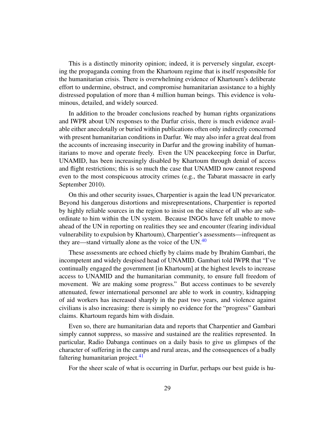This is a distinctly minority opinion; indeed, it is perversely singular, excepting the propaganda coming from the Khartoum regime that is itself responsible for the humanitarian crisis. There is overwhelming evidence of Khartoum's deliberate effort to undermine, obstruct, and compromise humanitarian assistance to a highly distressed population of more than 4 million human beings. This evidence is voluminous, detailed, and widely sourced.

In addition to the broader conclusions reached by human rights organizations and IWPR about UN responses to the Darfur crisis, there is much evidence available either anecdotally or buried within publications often only indirectly concerned with present humanitarian conditions in Darfur. We may also infer a great deal from the accounts of increasing insecurity in Darfur and the growing inability of humanitarians to move and operate freely. Even the UN peacekeeping force in Darfur, UNAMID, has been increasingly disabled by Khartoum through denial of access and flight restrictions; this is so much the case that UNAMID now cannot respond even to the most conspicuous atrocity crimes (e.g., the Tabarat massacre in early September 2010).

On this and other security issues, Charpentier is again the lead UN prevaricator. Beyond his dangerous distortions and misrepresentations, Charpentier is reported by highly reliable sources in the region to insist on the silence of all who are subordinate to him within the UN system. Because INGOs have felt unable to move ahead of the UN in reporting on realities they see and encounter (fearing individual vulnerability to expulsion by Khartoum), Charpentier's assessments—infrequent as they are—stand virtually alone as the voice of the  $UN<sup>40</sup>$  $UN<sup>40</sup>$  $UN<sup>40</sup>$ 

These assessments are echoed chiefly by claims made by Ibrahim Gambari, the incompetent and widely despised head of UNAMID. Gambari told IWPR that "I've continually engaged the government [in Khartoum] at the highest levels to increase access to UNAMID and the humanitarian community, to ensure full freedom of movement. We are making some progress." But access continues to be severely attenuated, fewer international personnel are able to work in country, kidnapping of aid workers has increased sharply in the past two years, and violence against civilians is also increasing: there is simply no evidence for the "progress" Gambari claims. Khartoum regards him with disdain.

Even so, there are humanitarian data and reports that Charpentier and Gambari simply cannot suppress, so massive and sustained are the realities represented. In particular, Radio Dabanga continues on a daily basis to give us glimpses of the character of suffering in the camps and rural areas, and the consequences of a badly faltering humanitarian project. $41$ 

For the sheer scale of what is occurring in Darfur, perhaps our best guide is hu-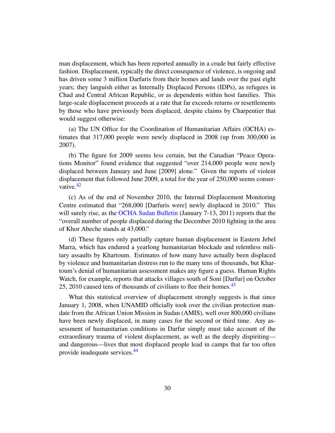man displacement, which has been reported annually in a crude but fairly effective fashion. Displacement, typically the direct consequence of violence, is ongoing and has driven some 3 million Darfuris from their homes and lands over the past eight years; they languish either as Internally Displaced Persons (IDPs), as refugees in Chad and Central African Republic, or as dependents within host families. This large-scale displacement proceeds at a rate that far exceeds returns or resettlements by those who have previously been displaced, despite claims by Charpentier that would suggest otherwise:

(a) The UN Office for the Coordination of Humanitarian Affairs (OCHA) estimates that 317,000 people were newly displaced in 2008 (up from 300,000 in 2007).

(b) The figure for 2009 seems less certain, but the Canadian "Peace Operations Monitor" found evidence that suggested "over 214,000 people were newly displaced between January and June [2009] alone." Given the reports of violent displacement that followed June 2009, a total for the year of 250,000 seems conser-vative.<sup>[42](#page-76-0)</sup>

(c) As of the end of November 2010, the Internal Displacement Monitoring Centre estimated that "268,000 [Darfuris were] newly displaced in 2010." This will surely rise, as the [OCHA Sudan Bulletin](http://reliefweb.int/sites/reliefweb.int/files/resources/8028E8AB5B8375B685257818006E066C-Full_Report.pdf) (January 7-13, 2011) reports that the "overall number of people displaced during the December 2010 fighting in the area of Khor Abeche stands at 43,000."

(d) These figures only partially capture human displacement in Eastern Jebel Marra, which has endured a yearlong humanitarian blockade and relentless military assaults by Khartoum. Estimates of how many have actually been displaced by violence and humanitarian distress run to the many tens of thousands, but Khartoum's denial of humanitarian assessment makes any figure a guess. Human Rights Watch, for example, reports that attacks villages south of Soni [Darfur] on October 25, 2010 caused tens of thousands of civilians to flee their homes.  $43$ 

What this statistical overview of displacement strongly suggests is that since January 1, 2008, when UNAMID officially took over the civilian protection mandate from the African Union Mission in Sudan (AMIS), well over 800,000 civilians have been newly displaced, in many cases for the second or third time. Any assessment of humanitarian conditions in Darfur simply must take account of the extraordinary trauma of violent displacement, as well as the deeply dispiriting and dangerous—lives that most displaced people lead in camps that far too often provide inadequate services.<sup>[44](#page-76-2)</sup>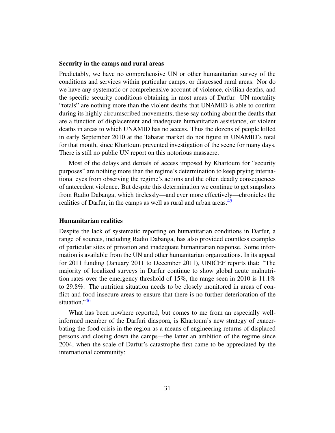#### Security in the camps and rural areas

Predictably, we have no comprehensive UN or other humanitarian survey of the conditions and services within particular camps, or distressed rural areas. Nor do we have any systematic or comprehensive account of violence, civilian deaths, and the specific security conditions obtaining in most areas of Darfur. UN mortality "totals" are nothing more than the violent deaths that UNAMID is able to confirm during its highly circumscribed movements; these say nothing about the deaths that are a function of displacement and inadequate humanitarian assistance, or violent deaths in areas to which UNAMID has no access. Thus the dozens of people killed in early September 2010 at the Tabarat market do not figure in UNAMID's total for that month, since Khartoum prevented investigation of the scene for many days. There is still no public UN report on this notorious massacre.

Most of the delays and denials of access imposed by Khartoum for "security purposes" are nothing more than the regime's determination to keep prying international eyes from observing the regime's actions and the often deadly consequences of antecedent violence. But despite this determination we continue to get snapshots from Radio Dabanga, which tirelessly—and ever more effectively—chronicles the realities of Darfur, in the camps as well as rural and urban areas.<sup>[45](#page-76-3)</sup>

#### Humanitarian realities

Despite the lack of systematic reporting on humanitarian conditions in Darfur, a range of sources, including Radio Dabanga, has also provided countless examples of particular sites of privation and inadequate humanitarian response. Some information is available from the UN and other humanitarian organizations. In its appeal for 2011 funding (January 2011 to December 2011), UNICEF reports that: "The majority of localized surveys in Darfur continue to show global acute malnutrition rates over the emergency threshold of 15%, the range seen in 2010 is 11.1% to 29.8%. The nutrition situation needs to be closely monitored in areas of conflict and food insecure areas to ensure that there is no further deterioration of the situation." <sup>[46](#page-76-4)</sup>

What has been nowhere reported, but comes to me from an especially wellinformed member of the Darfuri diaspora, is Khartoum's new strategy of exacerbating the food crisis in the region as a means of engineering returns of displaced persons and closing down the camps—the latter an ambition of the regime since 2004, when the scale of Darfur's catastrophe first came to be appreciated by the international community: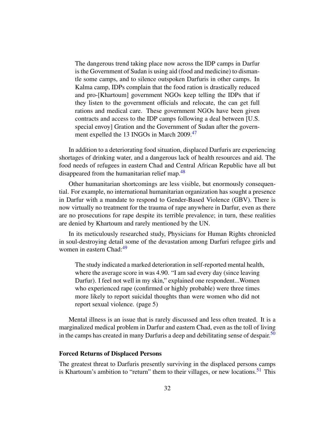The dangerous trend taking place now across the IDP camps in Darfur is the Government of Sudan is using aid (food and medicine) to dismantle some camps, and to silence outspoken Darfuris in other camps. In Kalma camp, IDPs complain that the food ration is drastically reduced and pro-[Khartoum] government NGOs keep telling the IDPs that if they listen to the government officials and relocate, the can get full rations and medical care. These government NGOs have been given contracts and access to the IDP camps following a deal between [U.S. special envoy] Gration and the Government of Sudan after the govern-ment expelled the 13 INGOs in March 2009.<sup>[47](#page-76-5)</sup>

In addition to a deteriorating food situation, displaced Darfuris are experiencing shortages of drinking water, and a dangerous lack of health resources and aid. The food needs of refugees in eastern Chad and Central African Republic have all but disappeared from the humanitarian relief map.<sup>[48](#page-76-6)</sup>

Other humanitarian shortcomings are less visible, but enormously consequential. For example, no international humanitarian organization has sought a presence in Darfur with a mandate to respond to Gender-Based Violence (GBV). There is now virtually no treatment for the trauma of rape anywhere in Darfur, even as there are no prosecutions for rape despite its terrible prevalence; in turn, these realities are denied by Khartoum and rarely mentioned by the UN.

In its meticulously researched study, Physicians for Human Rights chronicled in soul-destroying detail some of the devastation among Darfuri refugee girls and women in eastern Chad:<sup>[49](#page-76-7)</sup>

The study indicated a marked deterioration in self-reported mental health, where the average score in was 4.90. "I am sad every day (since leaving Darfur). I feel not well in my skin," explained one respondent...Women who experienced rape (confirmed or highly probable) were three times more likely to report suicidal thoughts than were women who did not report sexual violence. (page 5)

Mental illness is an issue that is rarely discussed and less often treated. It is a marginalized medical problem in Darfur and eastern Chad, even as the toll of living in the camps has created in many Darfuris a deep and debilitating sense of despair.<sup>[50](#page-76-8)</sup>

#### Forced Returns of Displaced Persons

The greatest threat to Darfuris presently surviving in the displaced persons camps is Khartoum's ambition to "return" them to their villages, or new locations.<sup>[51](#page-76-9)</sup> This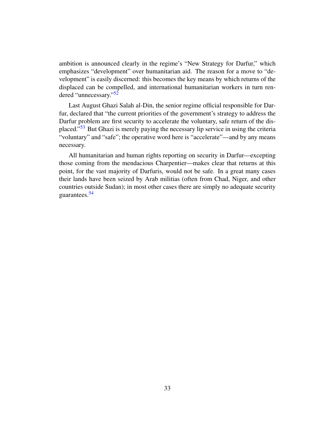ambition is announced clearly in the regime's "New Strategy for Darfur," which emphasizes "development" over humanitarian aid. The reason for a move to "development" is easily discerned: this becomes the key means by which returns of the displaced can be compelled, and international humanitarian workers in turn rendered "unnecessary."[52](#page-76-10)

Last August Ghazi Salah al-Din, the senior regime official responsible for Darfur, declared that "the current priorities of the government's strategy to address the Darfur problem are first security to accelerate the voluntary, safe return of the dis-placed."<sup>[53](#page-76-11)</sup> But Ghazi is merely paying the necessary lip service in using the criteria "voluntary" and "safe"; the operative word here is "accelerate"—and by any means necessary.

All humanitarian and human rights reporting on security in Darfur—excepting those coming from the mendacious Charpentier—makes clear that returns at this point, for the vast majority of Darfuris, would not be safe. In a great many cases their lands have been seized by Arab militias (often from Chad, Niger, and other countries outside Sudan); in most other cases there are simply no adequate security guarantees.[54](#page-76-12)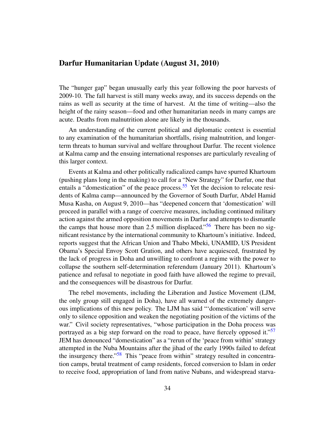### <span id="page-33-0"></span>Darfur Humanitarian Update (August 31, 2010)

The "hunger gap" began unusually early this year following the poor harvests of 2009-10. The fall harvest is still many weeks away, and its success depends on the rains as well as security at the time of harvest. At the time of writing—also the height of the rainy season—food and other humanitarian needs in many camps are acute. Deaths from malnutrition alone are likely in the thousands.

An understanding of the current political and diplomatic context is essential to any examination of the humanitarian shortfalls, rising malnutrition, and longerterm threats to human survival and welfare throughout Darfur. The recent violence at Kalma camp and the ensuing international responses are particularly revealing of this larger context.

Events at Kalma and other politically radicalized camps have spurred Khartoum (pushing plans long in the making) to call for a "New Strategy" for Darfur, one that entails a "domestication" of the peace process.<sup>[55](#page-76-13)</sup> Yet the decision to relocate residents of Kalma camp—announced by the Governor of South Darfur, Abdel Hamid Musa Kasha, on August 9, 2010—has "deepened concern that 'domestication' will proceed in parallel with a range of coercive measures, including continued military action against the armed opposition movements in Darfur and attempts to dismantle the camps that house more than 2.5 million displaced."<sup>[56](#page-76-14)</sup> There has been no significant resistance by the international community to Khartoum's initiative. Indeed, reports suggest that the African Union and Thabo Mbeki, UNAMID, US President Obama's Special Envoy Scott Gration, and others have acquiesced, frustrated by the lack of progress in Doha and unwilling to confront a regime with the power to collapse the southern self-determination referendum (January 2011). Khartoum's patience and refusal to negotiate in good faith have allowed the regime to prevail, and the consequences will be disastrous for Darfur.

The rebel movements, including the Liberation and Justice Movement (LJM, the only group still engaged in Doha), have all warned of the extremely dangerous implications of this new policy. The LJM has said "'domestication' will serve only to silence opposition and weaken the negotiating position of the victims of the war." Civil society representatives, "whose participation in the Doha process was portrayed as a big step forward on the road to peace, have fiercely opposed it."<sup>[57](#page-76-15)</sup> JEM has denounced "domestication" as a "rerun of the 'peace from within' strategy attempted in the Nuba Mountains after the jihad of the early 1990s failed to defeat the insurgency there.<sup> $.58$  $.58$ </sup> This "peace from within" strategy resulted in concentration camps, brutal treatment of camp residents, forced conversion to Islam in order to receive food, appropriation of land from native Nubans, and widespread starva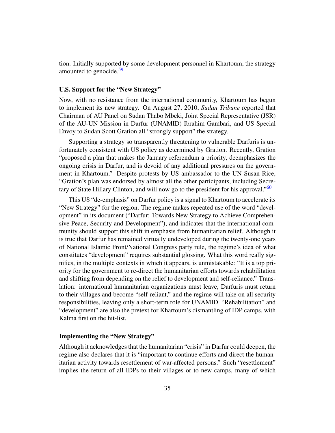tion. Initially supported by some development personnel in Khartoum, the strategy amounted to genocide.<sup>[59](#page-76-17)</sup>

#### U.S. Support for the "New Strategy"

Now, with no resistance from the international community, Khartoum has begun to implement its new strategy. On August 27, 2010, *Sudan Tribune* reported that Chairman of AU Panel on Sudan Thabo Mbeki, Joint Special Representative (JSR) of the AU-UN Mission in Darfur (UNAMID) Ibrahim Gambari, and US Special Envoy to Sudan Scott Gration all "strongly support" the strategy.

Supporting a strategy so transparently threatening to vulnerable Darfuris is unfortunately consistent with US policy as determined by Gration. Recently, Gration "proposed a plan that makes the January referendum a priority, deemphasizes the ongoing crisis in Darfur, and is devoid of any additional pressures on the government in Khartoum." Despite protests by US ambassador to the UN Susan Rice, "Gration's plan was endorsed by almost all the other participants, including Secre-tary of State Hillary Clinton, and will now go to the president for his approval."<sup>[60](#page-76-18)</sup>

This US "de-emphasis" on Darfur policy is a signal to Khartoum to accelerate its "New Strategy" for the region. The regime makes repeated use of the word "development" in its document ("Darfur: Towards New Strategy to Achieve Comprehensive Peace, Security and Development"), and indicates that the international community should support this shift in emphasis from humanitarian relief. Although it is true that Darfur has remained virtually undeveloped during the twenty-one years of National Islamic Front/National Congress party rule, the regime's idea of what constitutes "development" requires substantial glossing. What this word really signifies, in the multiple contexts in which it appears, is unmistakable: "It is a top priority for the government to re-direct the humanitarian efforts towards rehabilitation and shifting from depending on the relief to development and self-reliance." Translation: international humanitarian organizations must leave, Darfuris must return to their villages and become "self-reliant," and the regime will take on all security responsibilities, leaving only a short-term role for UNAMID. "Rehabilitation" and "development" are also the pretext for Khartoum's dismantling of IDP camps, with Kalma first on the hit-list.

#### Implementing the "New Strategy"

Although it acknowledges that the humanitarian "crisis" in Darfur could deepen, the regime also declares that it is "important to continue efforts and direct the humanitarian activity towards resettlement of war-affected persons." Such "resettlement" implies the return of all IDPs to their villages or to new camps, many of which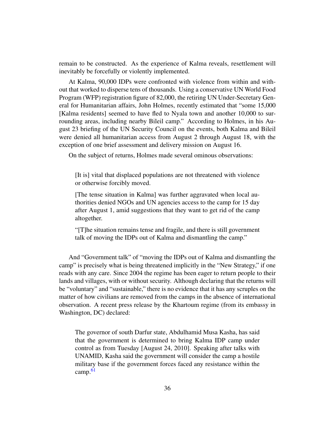remain to be constructed. As the experience of Kalma reveals, resettlement will inevitably be forcefully or violently implemented.

At Kalma, 90,000 IDPs were confronted with violence from within and without that worked to disperse tens of thousands. Using a conservative UN World Food Program (WFP) registration figure of 82,000, the retiring UN Under-Secretary General for Humanitarian affairs, John Holmes, recently estimated that "some 15,000 [Kalma residents] seemed to have fled to Nyala town and another 10,000 to surrounding areas, including nearby Bileil camp." According to Holmes, in his August 23 briefing of the UN Security Council on the events, both Kalma and Bileil were denied all humanitarian access from August 2 through August 18, with the exception of one brief assessment and delivery mission on August 16.

On the subject of returns, Holmes made several ominous observations:

[It is] vital that displaced populations are not threatened with violence or otherwise forcibly moved.

[The tense situation in Kalma] was further aggravated when local authorities denied NGOs and UN agencies access to the camp for 15 day after August 1, amid suggestions that they want to get rid of the camp altogether.

"[T]he situation remains tense and fragile, and there is still government talk of moving the IDPs out of Kalma and dismantling the camp."

And "Government talk" of "moving the IDPs out of Kalma and dismantling the camp" is precisely what is being threatened implicitly in the "New Strategy," if one reads with any care. Since 2004 the regime has been eager to return people to their lands and villages, with or without security. Although declaring that the returns will be "voluntary" and "sustainable," there is no evidence that it has any scruples on the matter of how civilians are removed from the camps in the absence of international observation. A recent press release by the Khartoum regime (from its embassy in Washington, DC) declared:

The governor of south Darfur state, Abdulhamid Musa Kasha, has said that the government is determined to bring Kalma IDP camp under control as from Tuesday [August 24, 2010]. Speaking after talks with UNAMID, Kasha said the government will consider the camp a hostile military base if the government forces faced any resistance within the camp. $61$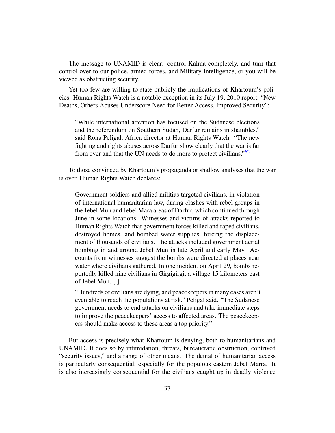The message to UNAMID is clear: control Kalma completely, and turn that control over to our police, armed forces, and Military Intelligence, or you will be viewed as obstructing security.

Yet too few are willing to state publicly the implications of Khartoum's policies. Human Rights Watch is a notable exception in its July 19, 2010 report, "New Deaths, Others Abuses Underscore Need for Better Access, Improved Security":

"While international attention has focused on the Sudanese elections and the referendum on Southern Sudan, Darfur remains in shambles," said Rona Peligal, Africa director at Human Rights Watch. "The new fighting and rights abuses across Darfur show clearly that the war is far from over and that the UN needs to do more to protect civilians."[62](#page-76-0)

To those convinced by Khartoum's propaganda or shallow analyses that the war is over, Human Rights Watch declares:

Government soldiers and allied militias targeted civilians, in violation of international humanitarian law, during clashes with rebel groups in the Jebel Mun and Jebel Mara areas of Darfur, which continued through June in some locations. Witnesses and victims of attacks reported to Human Rights Watch that government forces killed and raped civilians, destroyed homes, and bombed water supplies, forcing the displacement of thousands of civilians. The attacks included government aerial bombing in and around Jebel Mun in late April and early May. Accounts from witnesses suggest the bombs were directed at places near water where civilians gathered. In one incident on April 29, bombs reportedly killed nine civilians in Girgigirgi, a village 15 kilometers east of Jebel Mun. [ ]

"Hundreds of civilians are dying, and peacekeepers in many cases aren't even able to reach the populations at risk," Peligal said. "The Sudanese government needs to end attacks on civilians and take immediate steps to improve the peacekeepers' access to affected areas. The peacekeepers should make access to these areas a top priority."

But access is precisely what Khartoum is denying, both to humanitarians and UNAMID. It does so by intimidation, threats, bureaucratic obstruction, contrived "security issues," and a range of other means. The denial of humanitarian access is particularly consequential, especially for the populous eastern Jebel Marra. It is also increasingly consequential for the civilians caught up in deadly violence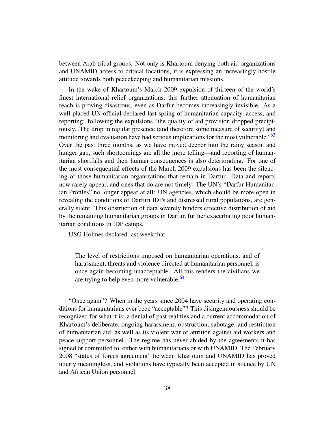between Arab tribal groups. Not only is Khartoum denying both aid organizations and UNAMID access to critical locations, it is expressing an increasingly hostile attitude towards both peacekeeping and humanitarian missions.

In the wake of Khartoum's March 2009 expulsion of thirteen of the world's finest international relief organizations, this further attenuation of humanitarian reach is proving disastrous, even as Darfur becomes increasingly invisible. As a well-placed UN official declared last spring of humanitarian capacity, access, and reporting: following the expulsions "the quality of aid provision dropped precipitously...The drop in regular presence (and therefore some measure of security) and monitoring and evaluation have had serious implications for the most vulnerable."<sup>[63](#page-76-1)</sup> Over the past three months, as we have moved deeper into the rainy season and hunger gap, such shortcomings are all the more telling—and reporting of humanitarian shortfalls and their human consequences is also deteriorating. For one of the most consequential effects of the March 2009 expulsions has been the silencing of those humanitarian organizations that remain in Darfur. Data and reports now rarely appear, and ones that do are not timely. The UN's "Darfur Humanitarian Profiles" no longer appear at all: UN agencies, which should be more open in revealing the conditions of Darfuri IDPs and distressed rural populations, are generally silent. This obstruction of data severely hinders effective distribution of aid by the remaining humanitarian groups in Darfur, further exacerbating poor humanitarian conditions in IDP camps.

USG Holmes declared last week that,

The level of restrictions imposed on humanitarian operations, and of harassment, threats and violence directed at humanitarian personnel, is once again becoming unacceptable. All this renders the civilians we are trying to help even more vulnerable. $64$ 

"Once again"? When in the years since 2004 have security and operating conditions for humanitarians ever been "acceptable"? This disingenuousness should be recognized for what it is: a denial of past realities and a current accommodation of Khartoum's deliberate, ongoing harassment, obstruction, sabotage, and restriction of humanitarian aid, as well as its violent war of attrition against aid workers and peace support personnel. The regime has never abided by the agreements it has signed or committed to, either with humanitarians or with UNAMID. The February 2008 "status of forces agreement" between Khartoum and UNAMID has proved utterly meaningless, and violations have typically been accepted in silence by UN and African Union personnel.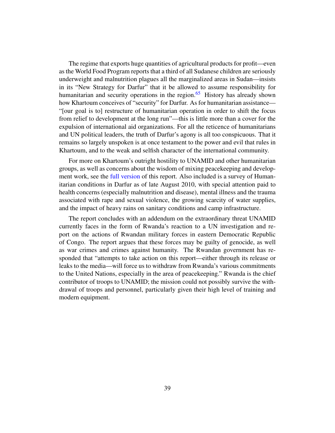The regime that exports huge quantities of agricultural products for profit—even as the World Food Program reports that a third of all Sudanese children are seriously underweight and malnutrition plagues all the marginalized areas in Sudan—insists in its "New Strategy for Darfur" that it be allowed to assume responsibility for humanitarian and security operations in the region.<sup>[65](#page-77-0)</sup> History has already shown how Khartoum conceives of "security" for Darfur. As for humanitarian assistance— "[our goal is to] restructure of humanitarian operation in order to shift the focus from relief to development at the long run"—this is little more than a cover for the expulsion of international aid organizations. For all the reticence of humanitarians and UN political leaders, the truth of Darfur's agony is all too conspicuous. That it remains so largely unspoken is at once testament to the power and evil that rules in Khartoum, and to the weak and selfish character of the international community.

For more on Khartoum's outright hostility to UNAMID and other humanitarian groups, as well as concerns about the wisdom of mixing peacekeeping and development work, see the [full version](http://www.sudanreeves.org/2011/01/29/darfur-humanitarian-update-august-31-2010/) of this report. Also included is a survey of Humanitarian conditions in Darfur as of late August 2010, with special attention paid to health concerns (especially malnutrition and disease), mental illness and the trauma associated with rape and sexual violence, the growing scarcity of water supplies, and the impact of heavy rains on sanitary conditions and camp infrastructure.

The report concludes with an addendum on the extraordinary threat UNAMID currently faces in the form of Rwanda's reaction to a UN investigation and report on the actions of Rwandan military forces in eastern Democratic Republic of Congo. The report argues that these forces may be guilty of genocide, as well as war crimes and crimes against humanity. The Rwandan government has responded that "attempts to take action on this report—either through its release or leaks to the media—will force us to withdraw from Rwanda's various commitments to the United Nations, especially in the area of peacekeeping." Rwanda is the chief contributor of troops to UNAMID; the mission could not possibly survive the withdrawal of troops and personnel, particularly given their high level of training and modern equipment.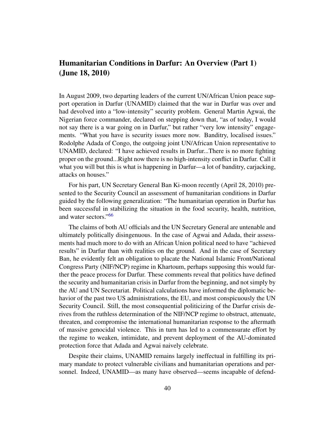# Humanitarian Conditions in Darfur: An Overview (Part 1) (June 18, 2010)

In August 2009, two departing leaders of the current UN/African Union peace support operation in Darfur (UNAMID) claimed that the war in Darfur was over and had devolved into a "low-intensity" security problem. General Martin Agwai, the Nigerian force commander, declared on stepping down that, "as of today, I would not say there is a war going on in Darfur," but rather "very low intensity" engagements. "What you have is security issues more now. Banditry, localised issues." Rodolphe Adada of Congo, the outgoing joint UN/African Union representative to UNAMID, declared: "I have achieved results in Darfur...There is no more fighting proper on the ground...Right now there is no high-intensity conflict in Darfur. Call it what you will but this is what is happening in Darfur—a lot of banditry, carjacking, attacks on houses."

For his part, UN Secretary General Ban Ki-moon recently (April 28, 2010) presented to the Security Council an assessment of humanitarian conditions in Darfur guided by the following generalization: "The humanitarian operation in Darfur has been successful in stabilizing the situation in the food security, health, nutrition, and water sectors."[66](#page-77-1)

The claims of both AU officials and the UN Secretary General are untenable and ultimately politically disingenuous. In the case of Agwai and Adada, their assessments had much more to do with an African Union political need to have "achieved results" in Darfur than with realities on the ground. And in the case of Secretary Ban, he evidently felt an obligation to placate the National Islamic Front/National Congress Party (NIF/NCP) regime in Khartoum, perhaps supposing this would further the peace process for Darfur. These comments reveal that politics have defined the security and humanitarian crisis in Darfur from the beginning, and not simply by the AU and UN Secretariat. Political calculations have informed the diplomatic behavior of the past two US administrations, the EU, and most conspicuously the UN Security Council. Still, the most consequential politicizing of the Darfur crisis derives from the ruthless determination of the NIF/NCP regime to obstruct, attenuate, threaten, and compromise the international humanitarian response to the aftermath of massive genocidal violence. This in turn has led to a commensurate effort by the regime to weaken, intimidate, and prevent deployment of the AU-dominated protection force that Adada and Agwai naively celebrate.

Despite their claims, UNAMID remains largely ineffectual in fulfilling its primary mandate to protect vulnerable civilians and humanitarian operations and personnel. Indeed, UNAMID—as many have observed—seems incapable of defend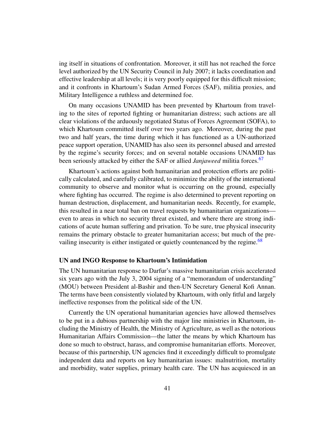ing itself in situations of confrontation. Moreover, it still has not reached the force level authorized by the UN Security Council in July 2007; it lacks coordination and effective leadership at all levels; it is very poorly equipped for this difficult mission; and it confronts in Khartoum's Sudan Armed Forces (SAF), militia proxies, and Military Intelligence a ruthless and determined foe.

On many occasions UNAMID has been prevented by Khartoum from traveling to the sites of reported fighting or humanitarian distress; such actions are all clear violations of the arduously negotiated Status of Forces Agreement (SOFA), to which Khartoum committed itself over two years ago. Moreover, during the past two and half years, the time during which it has functioned as a UN-authorized peace support operation, UNAMID has also seen its personnel abused and arrested by the regime's security forces; and on several notable occasions UNAMID has been seriously attacked by either the SAF or allied *Janjaweed* militia forces.<sup>[67](#page-77-2)</sup>

Khartoum's actions against both humanitarian and protection efforts are politically calculated, and carefully calibrated, to minimize the ability of the international community to observe and monitor what is occurring on the ground, especially where fighting has occurred. The regime is also determined to prevent reporting on human destruction, displacement, and humanitarian needs. Recently, for example, this resulted in a near total ban on travel requests by humanitarian organizations even to areas in which no security threat existed, and where there are strong indications of acute human suffering and privation. To be sure, true physical insecurity remains the primary obstacle to greater humanitarian access; but much of the pre-vailing insecurity is either instigated or quietly countenanced by the regime.<sup>[68](#page-77-3)</sup>

#### UN and INGO Response to Khartoum's Intimidation

The UN humanitarian response to Darfur's massive humanitarian crisis accelerated six years ago with the July 3, 2004 signing of a "memorandum of understanding" (MOU) between President al-Bashir and then-UN Secretary General Kofi Annan. The terms have been consistently violated by Khartoum, with only fitful and largely ineffective responses from the political side of the UN.

Currently the UN operational humanitarian agencies have allowed themselves to be put in a dubious partnership with the major line ministries in Khartoum, including the Ministry of Health, the Ministry of Agriculture, as well as the notorious Humanitarian Affairs Commission—the latter the means by which Khartoum has done so much to obstruct, harass, and compromise humanitarian efforts. Moreover, because of this partnership, UN agencies find it exceedingly difficult to promulgate independent data and reports on key humanitarian issues: malnutrition, mortality and morbidity, water supplies, primary health care. The UN has acquiesced in an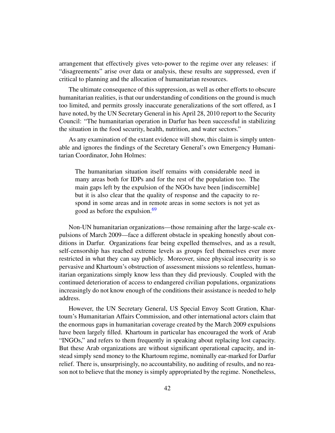arrangement that effectively gives veto-power to the regime over any releases: if "disagreements" arise over data or analysis, these results are suppressed, even if critical to planning and the allocation of humanitarian resources.

The ultimate consequence of this suppression, as well as other efforts to obscure humanitarian realities, is that our understanding of conditions on the ground is much too limited, and permits grossly inaccurate generalizations of the sort offered, as I have noted, by the UN Secretary General in his April 28, 2010 report to the Security Council: "The humanitarian operation in Darfur has been successful in stabilizing the situation in the food security, health, nutrition, and water sectors."

As any examination of the extant evidence will show, this claim is simply untenable and ignores the findings of the Secretary General's own Emergency Humanitarian Coordinator, John Holmes:

The humanitarian situation itself remains with considerable need in many areas both for IDPs and for the rest of the population too. The main gaps left by the expulsion of the NGOs have been [indiscernible] but it is also clear that the quality of response and the capacity to respond in some areas and in remote areas in some sectors is not yet as good as before the expulsion.<sup>[69](#page-77-4)</sup>

Non-UN humanitarian organizations—those remaining after the large-scale expulsions of March 2009—face a different obstacle in speaking honestly about conditions in Darfur. Organizations fear being expelled themselves, and as a result, self-censorship has reached extreme levels as groups feel themselves ever more restricted in what they can say publicly. Moreover, since physical insecurity is so pervasive and Khartoum's obstruction of assessment missions so relentless, humanitarian organizations simply know less than they did previously. Coupled with the continued deterioration of access to endangered civilian populations, organizations increasingly do not know enough of the conditions their assistance is needed to help address.

However, the UN Secretary General, US Special Envoy Scott Gration, Khartoum's Humanitarian Affairs Commission, and other international actors claim that the enormous gaps in humanitarian coverage created by the March 2009 expulsions have been largely filled. Khartoum in particular has encouraged the work of Arab "INGOs," and refers to them frequently in speaking about replacing lost capacity. But these Arab organizations are without significant operational capacity, and instead simply send money to the Khartoum regime, nominally ear-marked for Darfur relief. There is, unsurprisingly, no accountability, no auditing of results, and no reason not to believe that the money is simply appropriated by the regime. Nonetheless,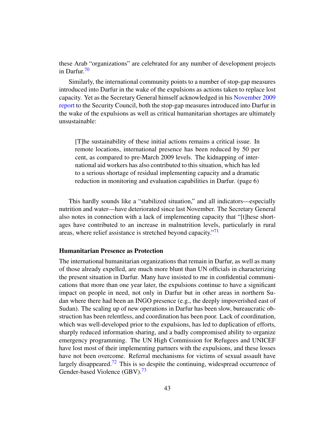these Arab "organizations" are celebrated for any number of development projects in Darfur<sup>[70](#page-77-5)</sup>

Similarly, the international community points to a number of stop-gap measures introduced into Darfur in the wake of the expulsions as actions taken to replace lost capacity. Yet as the Secretary General himself acknowledged in his [November 2009](http://www.un.org/Docs/sc/sgrep09.htm) [report](http://www.un.org/Docs/sc/sgrep09.htm) to the Security Council, both the stop-gap measures introduced into Darfur in the wake of the expulsions as well as critical humanitarian shortages are ultimately unsustainable:

[T]he sustainability of these initial actions remains a critical issue. In remote locations, international presence has been reduced by 50 per cent, as compared to pre-March 2009 levels. The kidnapping of international aid workers has also contributed to this situation, which has led to a serious shortage of residual implementing capacity and a dramatic reduction in monitoring and evaluation capabilities in Darfur. (page 6)

This hardly sounds like a "stabilized situation," and all indicators—especially nutrition and water—have deteriorated since last November. The Secretary General also notes in connection with a lack of implementing capacity that "[t]hese shortages have contributed to an increase in malnutrition levels, particularly in rural areas, where relief assistance is stretched beyond capacity."<sup>[71](#page-77-6)</sup>

#### Humanitarian Presence as Protection

The international humanitarian organizations that remain in Darfur, as well as many of those already expelled, are much more blunt than UN officials in characterizing the present situation in Darfur. Many have insisted to me in confidential communications that more than one year later, the expulsions continue to have a significant impact on people in need, not only in Darfur but in other areas in northern Sudan where there had been an INGO presence (e.g., the deeply impoverished east of Sudan). The scaling up of new operations in Darfur has been slow, bureaucratic obstruction has been relentless, and coordination has been poor. Lack of coordination, which was well-developed prior to the expulsions, has led to duplication of efforts, sharply reduced information sharing, and a badly compromised ability to organize emergency programming. The UN High Commission for Refugees and UNICEF have lost most of their implementing partners with the expulsions, and these losses have not been overcome. Referral mechanisms for victims of sexual assault have largely disappeared.<sup>[72](#page-77-7)</sup> This is so despite the continuing, widespread occurrence of Gender-based Violence (GBV).<sup>[73](#page-77-8)</sup>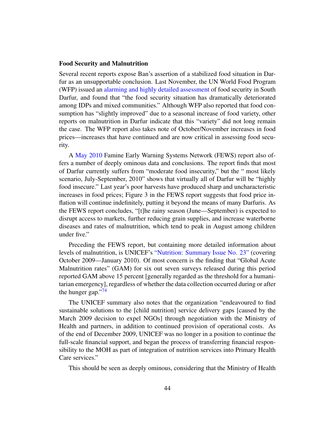#### Food Security and Malnutrition

Several recent reports expose Ban's assertion of a stabilized food situation in Darfur as an unsupportable conclusion. Last November, the UN World Food Program (WFP) issued an [alarming and highly detailed assessment](http://www.reliefweb.int/rw/rwb.nsf/db900SID/VDUX-84NQLM?OpenDocument) of food security in South Darfur, and found that "the food security situation has dramatically deteriorated among IDPs and mixed communities." Although WFP also reported that food consumption has "slightly improved" due to a seasonal increase of food variety, other reports on malnutrition in Darfur indicate that this "variety" did not long remain the case. The WFP report also takes note of October/November increases in food prices—increases that have continued and are now critical in assessing food security.

A [May 2010](http://www.reliefweb.int/rw/rwb.nsf/db900sid/VVOS-85TPNN?OpenDocument) Famine Early Warning Systems Network (FEWS) report also offers a number of deeply ominous data and conclusions. The report finds that most of Darfur currently suffers from "moderate food insecurity," but the " most likely scenario, July-September, 2010" shows that virtually all of Darfur will be "highly food insecure." Last year's poor harvests have produced sharp and uncharacteristic increases in food prices; Figure 3 in the FEWS report suggests that food price inflation will continue indefinitely, putting it beyond the means of many Darfuris. As the FEWS report concludes, "[t]he rainy season (June—September) is expected to disrupt access to markets, further reducing grain supplies, and increase waterborne diseases and rates of malnutrition, which tend to peak in August among children under five."

Preceding the FEWS report, but containing more detailed information about levels of malnutrition, is UNICEF's ["Nutrition: Summary Issue No. 23"](http://www.reliefweb.int/rw/rwb.nsf/db900sid/MYAI-84R9TJ?OpenDocument) (covering October 2009—January 2010). Of most concern is the finding that "Global Acute Malnutrition rates" (GAM) for six out seven surveys released during this period reported GAM above 15 percent [generally regarded as the threshold for a humanitarian emergency], regardless of whether the data collection occurred during or after the hunger gap."<sup>[74](#page-77-9)</sup>

The UNICEF summary also notes that the organization "endeavoured to find sustainable solutions to the [child nutrition] service delivery gaps [caused by the March 2009 decision to expel NGOs] through negotiation with the Ministry of Health and partners, in addition to continued provision of operational costs. As of the end of December 2009, UNICEF was no longer in a position to continue the full-scale financial support, and began the process of transferring financial responsibility to the MOH as part of integration of nutrition services into Primary Health Care services."

This should be seen as deeply ominous, considering that the Ministry of Health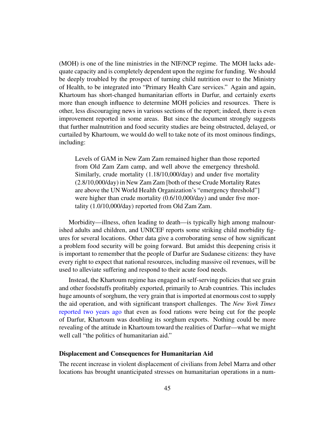(MOH) is one of the line ministries in the NIF/NCP regime. The MOH lacks adequate capacity and is completely dependent upon the regime for funding. We should be deeply troubled by the prospect of turning child nutrition over to the Ministry of Health, to be integrated into "Primary Health Care services." Again and again, Khartoum has short-changed humanitarian efforts in Darfur, and certainly exerts more than enough influence to determine MOH policies and resources. There is other, less discouraging news in various sections of the report; indeed, there is even improvement reported in some areas. But since the document strongly suggests that further malnutrition and food security studies are being obstructed, delayed, or curtailed by Khartoum, we would do well to take note of its most ominous findings, including:

Levels of GAM in New Zam Zam remained higher than those reported from Old Zam Zam camp, and well above the emergency threshold. Similarly, crude mortality (1.18/10,000/day) and under five mortality (2.8/10,000/day) in New Zam Zam [both of these Crude Mortality Rates are above the UN World Health Organization's "emergency threshold"] were higher than crude mortality (0.6/10,000/day) and under five mortality (1.0/10,000/day) reported from Old Zam Zam.

Morbidity—illness, often leading to death—is typically high among malnourished adults and children, and UNICEF reports some striking child morbidity figures for several locations. Other data give a corroborating sense of how significant a problem food security will be going forward. But amidst this deepening crisis it is important to remember that the people of Darfur are Sudanese citizens: they have every right to expect that national resources, including massive oil revenues, will be used to alleviate suffering and respond to their acute food needs.

Instead, the Khartoum regime has engaged in self-serving policies that see grain and other foodstuffs profitably exported, primarily to Arab countries. This includes huge amounts of sorghum, the very grain that is imported at enormous cost to supply the aid operation, and with significant transport challenges. The *New York Times* [reported two years ago](http://www.nytimes.com/2008/08/10/world/africa/10sudan.html) that even as food rations were being cut for the people of Darfur, Khartoum was doubling its sorghum exports. Nothing could be more revealing of the attitude in Khartoum toward the realities of Darfur—what we might well call "the politics of humanitarian aid."

#### Displacement and Consequences for Humanitarian Aid

The recent increase in violent displacement of civilians from Jebel Marra and other locations has brought unanticipated stresses on humanitarian operations in a num-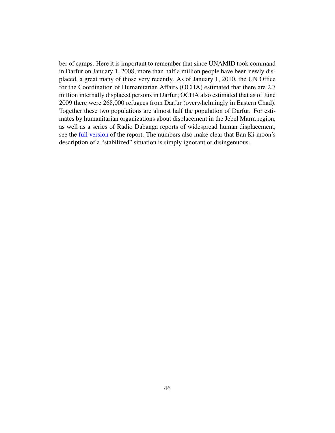ber of camps. Here it is important to remember that since UNAMID took command in Darfur on January 1, 2008, more than half a million people have been newly displaced, a great many of those very recently. As of January 1, 2010, the UN Office for the Coordination of Humanitarian Affairs (OCHA) estimated that there are 2.7 million internally displaced persons in Darfur; OCHA also estimated that as of June 2009 there were 268,000 refugees from Darfur (overwhelmingly in Eastern Chad). Together these two populations are almost half the population of Darfur. For estimates by humanitarian organizations about displacement in the Jebel Marra region, as well as a series of Radio Dabanga reports of widespread human displacement, see the [full version](http://www.sudanreeves.org/2010/06/19/humanitarian-conditions-in-darfur-an-overview-part-1/) of the report. The numbers also make clear that Ban Ki-moon's description of a "stabilized" situation is simply ignorant or disingenuous.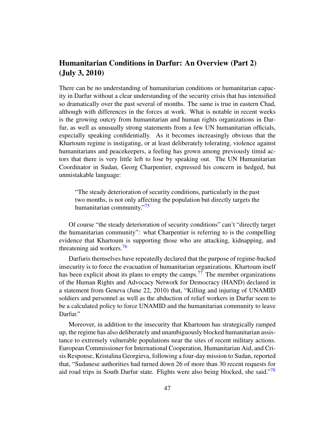## Humanitarian Conditions in Darfur: An Overview (Part 2) (July 3, 2010)

There can be no understanding of humanitarian conditions or humanitarian capacity in Darfur without a clear understanding of the security crisis that has intensified so dramatically over the past several of months. The same is true in eastern Chad, although with differences in the forces at work. What is notable in recent weeks is the growing outcry from humanitarian and human rights organizations in Darfur, as well as unusually strong statements from a few UN humanitarian officials, especially speaking confidentially. As it becomes increasingly obvious that the Khartoum regime is instigating, or at least deliberately tolerating, violence against humanitarians and peacekeepers, a feeling has grown among previously timid actors that there is very little left to lose by speaking out. The UN Humanitarian Coordinator in Sudan, Georg Charpentier, expressed his concern in hedged, but unmistakable language:

"The steady deterioration of security conditions, particularly in the past two months, is not only affecting the population but directly targets the humanitarian community."<sup>[75](#page-77-10)</sup>

Of course "the steady deterioration of security conditions" can't "directly target the humanitarian community": what Charpentier is referring to is the compelling evidence that Khartoum is supporting those who are attacking, kidnapping, and threatening aid workers.<sup>[76](#page-77-11)</sup>

Darfuris themselves have repeatedly declared that the purpose of regime-backed insecurity is to force the evacuation of humanitarian organizations. Khartoum itself has been explicit about its plans to empty the camps.<sup>[77](#page-77-12)</sup> The member organizations of the Human Rights and Advocacy Network for Democracy (HAND) declared in a statement from Geneva (June 22, 2010) that, "Killing and injuring of UNAMID soldiers and personnel as well as the abduction of relief workers in Darfur seem to be a calculated policy to force UNAMID and the humanitarian community to leave Darfur."

Moreover, in addition to the insecurity that Khartoum has strategically ramped up, the regime has also deliberately and unambiguously blocked humanitarian assistance to extremely vulnerable populations near the sites of recent military actions. European Commissioner for International Cooperation, Humanitarian Aid, and Crisis Response, Kristalina Georgieva, following a four-day mission to Sudan, reported that, "Sudanese authorities had turned down 26 of more than 30 recent requests for aid road trips in South Darfur state. Flights were also being blocked, she said."<sup>[78](#page-77-13)</sup>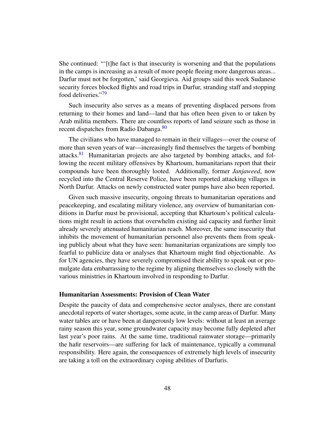She continued: "'[t]he fact is that insecurity is worsening and that the populations in the camps is increasing as a result of more people fleeing more dangerous areas... Darfur must not be forgotten,' said Georgieva. Aid groups said this week Sudanese security forces blocked flights and road trips in Darfur, stranding staff and stopping food deliveries."[79](#page-77-14)

Such insecurity also serves as a means of preventing displaced persons from returning to their homes and land—land that has often been given to or taken by Arab militia members. There are countless reports of land seizure such as those in recent dispatches from Radio Dabanga.<sup>[80](#page-77-15)</sup>

The civilians who have managed to remain in their villages—over the course of more than seven years of war—increasingly find themselves the targets of bombing attacks. $81$  Humanitarian projects are also targeted by bombing attacks, and following the recent military offensives by Khartoum, humanitarians report that their compounds have been thoroughly looted. Additionally, former *Janjaweed*, now recycled into the Central Reserve Police, have been reported attacking villages in North Darfur. Attacks on newly constructed water pumps have also been reported.

Given such massive insecurity, ongoing threats to humanitarian operations and peacekeeping, and escalating military violence, any overview of humanitarian conditions in Darfur must be provisional, accepting that Khartoum's political calculations might result in actions that overwhelm existing aid capacity and further limit already severely attenuated humanitarian reach. Moreover, the same insecurity that inhibits the movement of humanitarian personnel also prevents them from speaking publicly about what they have seen: humanitarian organizations are simply too fearful to publicize data or analyses that Khartoum might find objectionable. As for UN agencies, they have severely compromised their ability to speak out or promulgate data embarrassing to the regime by aligning themselves so closely with the various ministries in Khartoum involved in responding to Darfur.

## Humanitarian Assessments: Provision of Clean Water

Despite the paucity of data and comprehensive sector analyses, there are constant anecdotal reports of water shortages, some acute, in the camp areas of Darfur. Many water tables are or have been at dangerously low levels: without at least an average rainy season this year, some groundwater capacity may become fully depleted after last year's poor rains. At the same time, traditional rainwater storage—primarily the hafir reservoirs—are suffering for lack of maintenance, typically a communal responsibility. Here again, the consequences of extremely high levels of insecurity are taking a toll on the extraordinary coping abilities of Darfuris.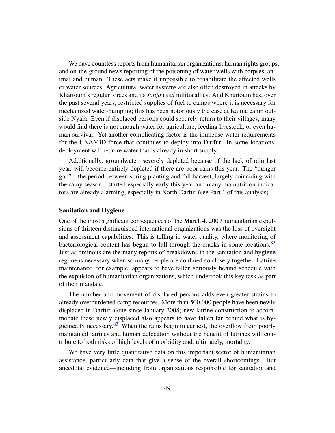We have countless reports from humanitarian organizations, human rights groups, and on-the-ground news reporting of the poisoning of water wells with corpses, animal and human. These acts make it impossible to rehabilitate the affected wells or water sources. Agricultural water systems are also often destroyed in attacks by Khartoum's regular forces and its *Janjaweed* militia allies. And Khartoum has, over the past several years, restricted supplies of fuel to camps where it is necessary for mechanized water-pumping; this has been notoriously the case at Kalma camp outside Nyala. Even if displaced persons could securely return to their villages, many would find there is not enough water for agriculture, feeding livestock, or even human survival. Yet another complicating factor is the immense water requirements for the UNAMID force that continues to deploy into Darfur. In some locations, deployment will require water that is already in short supply.

Additionally, groundwater, severely depleted because of the lack of rain last year, will become entirely depleted if there are poor rains this year. The "hunger gap"—the period between spring planting and fall harvest, largely coinciding with the rainy season—started especially early this year and many malnutrition indicators are already alarming, especially in North Darfur (see Part 1 of this analysis).

#### Sanitation and Hygiene

One of the most significant consequences of the March 4, 2009 humanitarian expulsions of thirteen distinguished international organizations was the loss of oversight and assessment capabilities. This is telling in water quality, where monitoring of bacteriological content has begun to fall through the cracks in some locations.<sup>[82](#page-77-17)</sup> Just as ominous are the many reports of breakdowns in the sanitation and hygiene regimens necessary when so many people are confined so closely together. Latrine maintenance, for example, appears to have fallen seriously behind schedule with the expulsion of humanitarian organizations, which undertook this key task as part of their mandate.

The number and movement of displaced persons adds even greater strains to already overburdened camp resources. More than 500,000 people have been newly displaced in Darfur alone since January 2008; new latrine construction to accommodate these newly displaced also appears to have fallen far behind what is hygienically necessary. $83$  When the rains begin in earnest, the overflow from poorly maintained latrines and human defecation without the benefit of latrines will contribute to both risks of high levels of morbidity and, ultimately, mortality.

We have very little quantitative data on this important sector of humanitarian assistance, particularly data that give a sense of the overall shortcomings. But anecdotal evidence—including from organizations responsible for sanitation and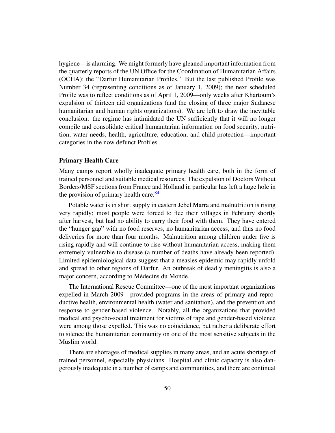hygiene—is alarming. We might formerly have gleaned important information from the quarterly reports of the UN Office for the Coordination of Humanitarian Affairs (OCHA): the "Darfur Humanitarian Profiles." But the last published Profile was Number 34 (representing conditions as of January 1, 2009); the next scheduled Profile was to reflect conditions as of April 1, 2009—only weeks after Khartoum's expulsion of thirteen aid organizations (and the closing of three major Sudanese humanitarian and human rights organizations). We are left to draw the inevitable conclusion: the regime has intimidated the UN sufficiently that it will no longer compile and consolidate critical humanitarian information on food security, nutrition, water needs, health, agriculture, education, and child protection—important categories in the now defunct Profiles.

## Primary Health Care

Many camps report wholly inadequate primary health care, both in the form of trained personnel and suitable medical resources. The expulsion of Doctors Without Borders/MSF sections from France and Holland in particular has left a huge hole in the provision of primary health care. $84$ 

Potable water is in short supply in eastern Jebel Marra and malnutrition is rising very rapidly; most people were forced to flee their villages in February shortly after harvest, but had no ability to carry their food with them. They have entered the "hunger gap" with no food reserves, no humanitarian access, and thus no food deliveries for more than four months. Malnutrition among children under five is rising rapidly and will continue to rise without humanitarian access, making them extremely vulnerable to disease (a number of deaths have already been reported). Limited epidemiological data suggest that a measles epidemic may rapidly unfold and spread to other regions of Darfur. An outbreak of deadly meningitis is also a major concern, according to Médecins du Monde.

The International Rescue Committee—one of the most important organizations expelled in March 2009—provided programs in the areas of primary and reproductive health, environmental health (water and sanitation), and the prevention and response to gender-based violence. Notably, all the organizations that provided medical and psycho-social treatment for victims of rape and gender-based violence were among those expelled. This was no coincidence, but rather a deliberate effort to silence the humanitarian community on one of the most sensitive subjects in the Muslim world.

There are shortages of medical supplies in many areas, and an acute shortage of trained personnel, especially physicians. Hospital and clinic capacity is also dangerously inadequate in a number of camps and communities, and there are continual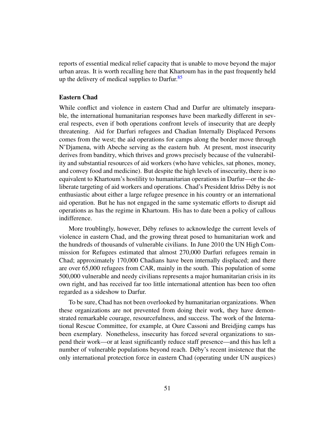reports of essential medical relief capacity that is unable to move beyond the major urban areas. It is worth recalling here that Khartoum has in the past frequently held up the delivery of medical supplies to Darfur. $85$ 

## Eastern Chad

While conflict and violence in eastern Chad and Darfur are ultimately inseparable, the international humanitarian responses have been markedly different in several respects, even if both operations confront levels of insecurity that are deeply threatening. Aid for Darfuri refugees and Chadian Internally Displaced Persons comes from the west; the aid operations for camps along the border move through N'Djamena, with Abeche serving as the eastern hub. At present, most insecurity derives from banditry, which thrives and grows precisely because of the vulnerability and substantial resources of aid workers (who have vehicles, sat phones, money, and convey food and medicine). But despite the high levels of insecurity, there is no equivalent to Khartoum's hostility to humanitarian operations in Darfur—or the deliberate targeting of aid workers and operations. Chad's President Idriss Déby is not enthusiastic about either a large refugee presence in his country or an international aid operation. But he has not engaged in the same systematic efforts to disrupt aid operations as has the regime in Khartoum. His has to date been a policy of callous indifference.

More troublingly, however, Déby refuses to acknowledge the current levels of violence in eastern Chad, and the growing threat posed to humanitarian work and the hundreds of thousands of vulnerable civilians. In June 2010 the UN High Commission for Refugees estimated that almost 270,000 Darfuri refugees remain in Chad; approximately 170,000 Chadians have been internally displaced; and there are over 65,000 refugees from CAR, mainly in the south. This population of some 500,000 vulnerable and needy civilians represents a major humanitarian crisis in its own right, and has received far too little international attention has been too often regarded as a sideshow to Darfur.

To be sure, Chad has not been overlooked by humanitarian organizations. When these organizations are not prevented from doing their work, they have demonstrated remarkable courage, resourcefulness, and success. The work of the International Rescue Committee, for example, at Oure Cassoni and Breidjing camps has been exemplary. Nonetheless, insecurity has forced several organizations to suspend their work—or at least significantly reduce staff presence—and this has left a number of vulnerable populations beyond reach. Déby's recent insistence that the only international protection force in eastern Chad (operating under UN auspices)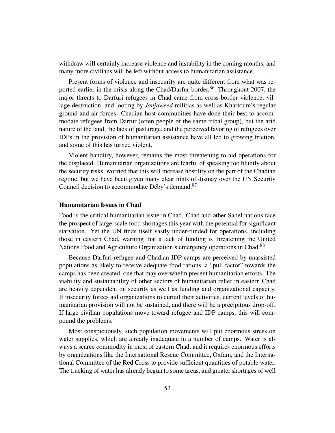withdraw will certainly increase violence and instability in the coming months, and many more civilians will be left without access to humanitarian assistance.

Present forms of violence and insecurity are quite different from what was re-ported earlier in the crisis along the Chad/Darfur border.<sup>[86](#page-78-0)</sup> Throughout 2007, the major threats to Darfuri refugees in Chad came from cross-border violence, village destruction, and looting by *Janjaweed* militias as well as Khartoum's regular ground and air forces. Chadian host communities have done their best to accommodate refugees from Darfur (often people of the same tribal group), but the arid nature of the land, the lack of pasturage, and the perceived favoring of refugees over IDPs in the provision of humanitarian assistance have all led to growing friction, and some of this has turned violent.

Violent banditry, however, remains the most threatening to aid operations for the displaced. Humanitarian organizations are fearful of speaking too bluntly about the security risks, worried that this will increase hostility on the part of the Chadian regime, but we have been given many clear hints of dismay over the UN Security Council decision to accommodate Déby's demand.<sup>[87](#page-78-1)</sup>

### Humanitarian Issues in Chad

Food is the critical humanitarian issue in Chad. Chad and other Sahel nations face the prospect of large-scale food shortages this year with the potential for significant starvation. Yet the UN finds itself vastly under-funded for operations, including those in eastern Chad, warning that a lack of funding is threatening the United Nations Food and Agriculture Organization's emergency operations in Chad.<sup>[88](#page-78-2)</sup>

Because Darfuri refugee and Chadian IDP camps are perceived by unassisted populations as likely to receive adequate food rations, a "pull factor" towards the camps has been created, one that may overwhelm present humanitarian efforts. The viability and sustainability of other sectors of humanitarian relief in eastern Chad are heavily dependent on security as well as funding and organizational capacity. If insecurity forces aid organizations to curtail their activities, current levels of humanitarian provision will not be sustained, and there will be a precipitous drop-off. If large civilian populations move toward refugee and IDP camps, this will compound the problems.

Most conspicuously, such population movements will put enormous stress on water supplies, which are already inadequate in a number of camps. Water is always a scarce commodity in most of eastern Chad, and it requires enormous efforts by organizations like the International Rescue Committee, Oxfam, and the International Committee of the Red Cross to provide sufficient quantities of potable water. The trucking of water has already begun to some areas, and greater shortages of well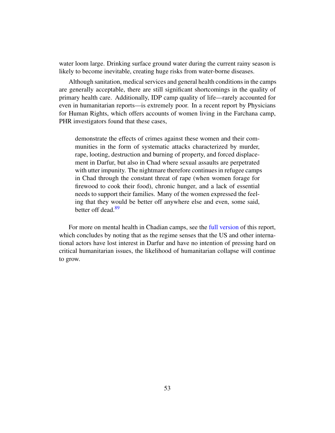water loom large. Drinking surface ground water during the current rainy season is likely to become inevitable, creating huge risks from water-borne diseases.

Although sanitation, medical services and general health conditions in the camps are generally acceptable, there are still significant shortcomings in the quality of primary health care. Additionally, IDP camp quality of life—rarely accounted for even in humanitarian reports—is extremely poor. In a recent report by Physicians for Human Rights, which offers accounts of women living in the Farchana camp, PHR investigators found that these cases,

demonstrate the effects of crimes against these women and their communities in the form of systematic attacks characterized by murder, rape, looting, destruction and burning of property, and forced displacement in Darfur, but also in Chad where sexual assaults are perpetrated with utter impunity. The nightmare therefore continues in refugee camps in Chad through the constant threat of rape (when women forage for firewood to cook their food), chronic hunger, and a lack of essential needs to support their families. Many of the women expressed the feeling that they would be better off anywhere else and even, some said, better off dead.<sup>[89](#page-78-3)</sup>

For more on mental health in Chadian camps, see the [full version](http://www.sudanreeves.org/2010/07/03/humanitarian-conditions-in-darfur-an-overview-part-2/) of this report, which concludes by noting that as the regime senses that the US and other international actors have lost interest in Darfur and have no intention of pressing hard on critical humanitarian issues, the likelihood of humanitarian collapse will continue to grow.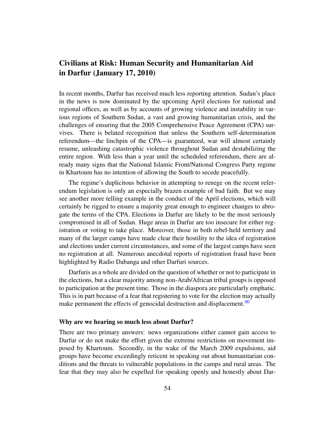# Civilians at Risk: Human Security and Humanitarian Aid in Darfur (January 17, 2010)

In recent months, Darfur has received much less reporting attention. Sudan's place in the news is now dominated by the upcoming April elections for national and regional offices, as well as by accounts of growing violence and instability in various regions of Southern Sudan, a vast and growing humanitarian crisis, and the challenges of ensuring that the 2005 Comprehensive Peace Agreement (CPA) survives. There is belated recognition that unless the Southern self-determination referendum—the linchpin of the CPA—is guaranteed, war will almost certainly resume, unleashing catastrophic violence throughout Sudan and destabilizing the entire region. With less than a year until the scheduled referendum, there are already many signs that the National Islamic Front/National Congress Party regime in Khartoum has no intention of allowing the South to secede peacefully.

The regime's duplicitous behavior in attempting to renege on the recent referendum legislation is only an especially brazen example of bad faith. But we may see another more telling example in the conduct of the April elections, which will certainly be rigged to ensure a majority great enough to engineer changes to abrogate the terms of the CPA. Elections in Darfur are likely to be the most seriously compromised in all of Sudan. Huge areas in Darfur are too insecure for either registration or voting to take place. Moreover, those in both rebel-held territory and many of the larger camps have made clear their hostility to the idea of registration and elections under current circumstances, and some of the largest camps have seen no registration at all. Numerous anecdotal reports of registration fraud have been highlighted by Radio Dabanga and other Darfuri sources.

Darfuris as a whole are divided on the question of whether or not to participate in the elections, but a clear majority among non-Arab/African tribal groups is opposed to participation at the present time. Those in the diaspora are particularly emphatic. This is in part because of a fear that registering to vote for the election may actually make permanent the effects of genocidal destruction and displacement.<sup>[90](#page-78-4)</sup>

### Why are we hearing so much less about Darfur?

There are two primary answers: news organizations either cannot gain access to Darfur or do not make the effort given the extreme restrictions on movement imposed by Khartoum. Secondly, in the wake of the March 2009 expulsions, aid groups have become exceedingly reticent in speaking out about humanitarian conditions and the threats to vulnerable populations in the camps and rural areas. The fear that they may also be expelled for speaking openly and honestly about Dar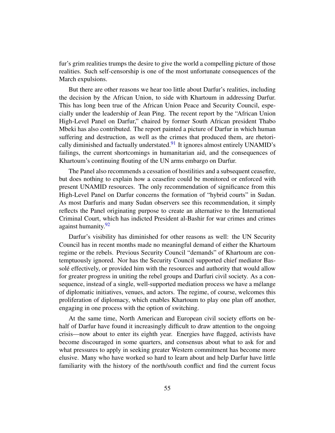fur's grim realities trumps the desire to give the world a compelling picture of those realities. Such self-censorship is one of the most unfortunate consequences of the March expulsions.

But there are other reasons we hear too little about Darfur's realities, including the decision by the African Union, to side with Khartoum in addressing Darfur. This has long been true of the African Union Peace and Security Council, especially under the leadership of Jean Ping. The recent report by the "African Union High-Level Panel on Darfur," chaired by former South African president Thabo Mbeki has also contributed. The report painted a picture of Darfur in which human suffering and destruction, as well as the crimes that produced them, are rhetorically diminished and factually understated. $91$  It ignores almost entirely UNAMID's failings, the current shortcomings in humanitarian aid, and the consequences of Khartoum's continuing flouting of the UN arms embargo on Darfur.

The Panel also recommends a cessation of hostilities and a subsequent ceasefire, but does nothing to explain how a ceasefire could be monitored or enforced with present UNAMID resources. The only recommendation of significance from this High-Level Panel on Darfur concerns the formation of "hybrid courts" in Sudan. As most Darfuris and many Sudan observers see this recommendation, it simply reflects the Panel originating purpose to create an alternative to the International Criminal Court, which has indicted President al-Bashir for war crimes and crimes against humanity.<sup>[92](#page-78-6)</sup>

Darfur's visibility has diminished for other reasons as well: the UN Security Council has in recent months made no meaningful demand of either the Khartoum regime or the rebels. Previous Security Council "demands" of Khartoum are contemptuously ignored. Nor has the Security Council supported chief mediator Bassolé effectively, or provided him with the resources and authority that would allow for greater progress in uniting the rebel groups and Darfuri civil society. As a consequence, instead of a single, well-supported mediation process we have a melange ´ of diplomatic initiatives, venues, and actors. The regime, of course, welcomes this proliferation of diplomacy, which enables Khartoum to play one plan off another, engaging in one process with the option of switching.

At the same time, North American and European civil society efforts on behalf of Darfur have found it increasingly difficult to draw attention to the ongoing crisis—now about to enter its eighth year. Energies have flagged, activists have become discouraged in some quarters, and consensus about what to ask for and what pressures to apply in seeking greater Western commitment has become more elusive. Many who have worked so hard to learn about and help Darfur have little familiarity with the history of the north/south conflict and find the current focus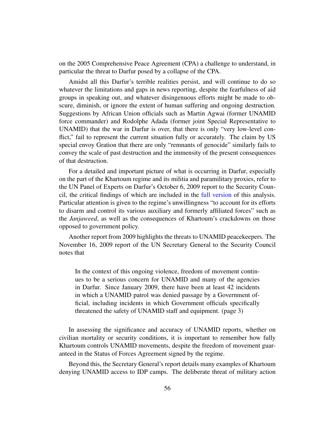on the 2005 Comprehensive Peace Agreement (CPA) a challenge to understand, in particular the threat to Darfur posed by a collapse of the CPA.

Amidst all this Darfur's terrible realities persist, and will continue to do so whatever the limitations and gaps in news reporting, despite the fearfulness of aid groups in speaking out, and whatever disingenuous efforts might be made to obscure, diminish, or ignore the extent of human suffering and ongoing destruction. Suggestions by African Union officials such as Martin Agwai (former UNAMID force commander) and Rodolphe Adada (former joint Special Representative to UNAMID) that the war in Darfur is over, that there is only "very low-level conflict," fail to represent the current situation fully or accurately. The claim by US special envoy Gration that there are only "remnants of genocide" similarly fails to convey the scale of past destruction and the immensity of the present consequences of that destruction.

For a detailed and important picture of what is occurring in Darfur, especially on the part of the Khartoum regime and its militia and paramilitary proxies, refer to the UN Panel of Experts on Darfur's October 6, 2009 report to the Security Council, the critical findings of which are included in the [full version](http://www.sudanreeves.org/2010/01/17/civilians-at-risk-human-security-and-humanitarian-aid-in-darfur/) of this analysis. Particular attention is given to the regime's unwillingness "to account for its efforts to disarm and control its various auxiliary and formerly affiliated forces" such as the *Janjaweed*, as well as the consequences of Khartoum's crackdowns on those opposed to government policy.

Another report from 2009 highlights the threats to UNAMID peacekeepers. The November 16, 2009 report of the UN Secretary General to the Security Council notes that

In the context of this ongoing violence, freedom of movement continues to be a serious concern for UNAMID and many of the agencies in Darfur. Since January 2009, there have been at least 42 incidents in which a UNAMID patrol was denied passage by a Government official, including incidents in which Government officials specifically threatened the safety of UNAMID staff and equipment. (page 3)

In assessing the significance and accuracy of UNAMID reports, whether on civilian mortality or security conditions, it is important to remember how fully Khartoum controls UNAMID movements, despite the freedom of movement guaranteed in the Status of Forces Agreement signed by the regime.

Beyond this, the Secretary General's report details many examples of Khartoum denying UNAMID access to IDP camps. The deliberate threat of military action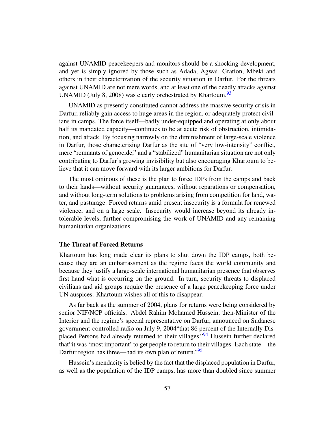against UNAMID peacekeepers and monitors should be a shocking development, and yet is simply ignored by those such as Adada, Agwai, Gration, Mbeki and others in their characterization of the security situation in Darfur. For the threats against UNAMID are not mere words, and at least one of the deadly attacks against UNAMID (July 8, 2008) was clearly orchestrated by Khartoum.<sup>[93](#page-78-7)</sup>

UNAMID as presently constituted cannot address the massive security crisis in Darfur, reliably gain access to huge areas in the region, or adequately protect civilians in camps. The force itself—badly under-equipped and operating at only about half its mandated capacity—continues to be at acute risk of obstruction, intimidation, and attack. By focusing narrowly on the diminishment of large-scale violence in Darfur, those characterizing Darfur as the site of "very low-intensity" conflict, mere "remnants of genocide," and a "stabilized" humanitarian situation are not only contributing to Darfur's growing invisibility but also encouraging Khartoum to believe that it can move forward with its larger ambitions for Darfur.

The most ominous of these is the plan to force IDPs from the camps and back to their lands—without security guarantees, without reparations or compensation, and without long-term solutions to problems arising from competition for land, water, and pasturage. Forced returns amid present insecurity is a formula for renewed violence, and on a large scale. Insecurity would increase beyond its already intolerable levels, further compromising the work of UNAMID and any remaining humanitarian organizations.

## The Threat of Forced Returns

Khartoum has long made clear its plans to shut down the IDP camps, both because they are an embarrassment as the regime faces the world community and because they justify a large-scale international humanitarian presence that observes first hand what is occurring on the ground. In turn, security threats to displaced civilians and aid groups require the presence of a large peacekeeping force under UN auspices. Khartoum wishes all of this to disappear.

As far back as the summer of 2004, plans for returns were being considered by senior NIF/NCP officials. Abdel Rahim Mohamed Hussein, then-Minister of the Interior and the regime's special representative on Darfur, announced on Sudanese government-controlled radio on July 9, 2004"that 86 percent of the Internally Dis-placed Persons had already returned to their villages."<sup>[94](#page-78-8)</sup> Hussein further declared that"it was 'most important' to get people to return to their villages. Each state—the Darfur region has three—had its own plan of return."<sup>[95](#page-78-9)</sup>

Hussein's mendacity is belied by the fact that the displaced population in Darfur, as well as the population of the IDP camps, has more than doubled since summer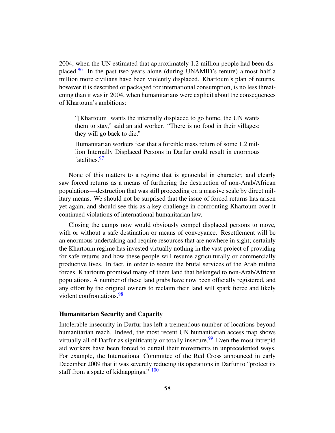2004, when the UN estimated that approximately 1.2 million people had been dis-placed.<sup>[96](#page-78-10)</sup> In the past two years alone (during UNAMID's tenure) almost half a million more civilians have been violently displaced. Khartoum's plan of returns, however it is described or packaged for international consumption, is no less threatening than it was in 2004, when humanitarians were explicit about the consequences of Khartoum's ambitions:

"[Khartoum] wants the internally displaced to go home, the UN wants them to stay," said an aid worker. "There is no food in their villages: they will go back to die."

Humanitarian workers fear that a forcible mass return of some 1.2 million Internally Displaced Persons in Darfur could result in enormous fatalities.[97](#page-78-11)

None of this matters to a regime that is genocidal in character, and clearly saw forced returns as a means of furthering the destruction of non-Arab/African populations—destruction that was still proceeding on a massive scale by direct military means. We should not be surprised that the issue of forced returns has arisen yet again, and should see this as a key challenge in confronting Khartoum over it continued violations of international humanitarian law.

Closing the camps now would obviously compel displaced persons to move, with or without a safe destination or means of conveyance. Resettlement will be an enormous undertaking and require resources that are nowhere in sight; certainly the Khartoum regime has invested virtually nothing in the vast project of providing for safe returns and how these people will resume agriculturally or commercially productive lives. In fact, in order to secure the brutal services of the Arab militia forces, Khartoum promised many of them land that belonged to non-Arab/African populations. A number of these land grabs have now been officially registered, and any effort by the original owners to reclaim their land will spark fierce and likely violent confrontations.<sup>[98](#page-78-12)</sup>

## Humanitarian Security and Capacity

Intolerable insecurity in Darfur has left a tremendous number of locations beyond humanitarian reach. Indeed, the most recent UN humanitarian access map shows virtually all of Darfur as significantly or totally insecure.<sup>[99](#page-78-13)</sup> Even the most intrepid aid workers have been forced to curtail their movements in unprecedented ways. For example, the International Committee of the Red Cross announced in early December 2009 that it was severely reducing its operations in Darfur to "protect its staff from a spate of kidnappings."  $\frac{100}{2}$  $\frac{100}{2}$  $\frac{100}{2}$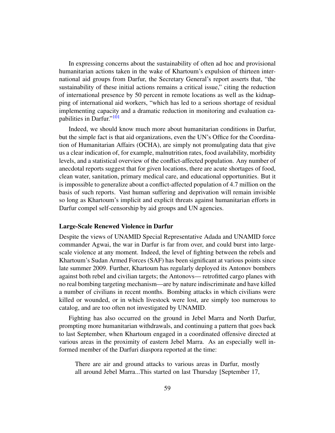In expressing concerns about the sustainability of often ad hoc and provisional humanitarian actions taken in the wake of Khartoum's expulsion of thirteen international aid groups from Darfur, the Secretary General's report asserts that, "the sustainability of these initial actions remains a critical issue," citing the reduction of international presence by 50 percent in remote locations as well as the kidnapping of international aid workers, "which has led to a serious shortage of residual implementing capacity and a dramatic reduction in monitoring and evaluation ca-pabilities in Darfur."<sup>[101](#page-78-15)</sup>

Indeed, we should know much more about humanitarian conditions in Darfur, but the simple fact is that aid organizations, even the UN's Office for the Coordination of Humanitarian Affairs (OCHA), are simply not promulgating data that give us a clear indication of, for example, malnutrition rates, food availability, morbidity levels, and a statistical overview of the conflict-affected population. Any number of anecdotal reports suggest that for given locations, there are acute shortages of food, clean water, sanitation, primary medical care, and educational opportunities. But it is impossible to generalize about a conflict-affected population of 4.7 million on the basis of such reports. Vast human suffering and deprivation will remain invisible so long as Khartoum's implicit and explicit threats against humanitarian efforts in Darfur compel self-censorship by aid groups and UN agencies.

#### Large-Scale Renewed Violence in Darfur

Despite the views of UNAMID Special Representative Adada and UNAMID force commander Agwai, the war in Darfur is far from over, and could burst into largescale violence at any moment. Indeed, the level of fighting between the rebels and Khartoum's Sudan Armed Forces (SAF) has been significant at various points since late summer 2009. Further, Khartoum has regularly deployed its Antonov bombers against both rebel and civilian targets; the Antonovs— retrofitted cargo planes with no real bombing targeting mechanism—are by nature indiscriminate and have killed a number of civilians in recent months. Bombing attacks in which civilians were killed or wounded, or in which livestock were lost, are simply too numerous to catalog, and are too often not investigated by UNAMID.

Fighting has also occurred on the ground in Jebel Marra and North Darfur, prompting more humanitarian withdrawals, and continuing a pattern that goes back to last September, when Khartoum engaged in a coordinated offensive directed at various areas in the proximity of eastern Jebel Marra. As an especially well informed member of the Darfuri diaspora reported at the time:

There are air and ground attacks to various areas in Darfur, mostly all around Jebel Marra...This started on last Thursday [September 17,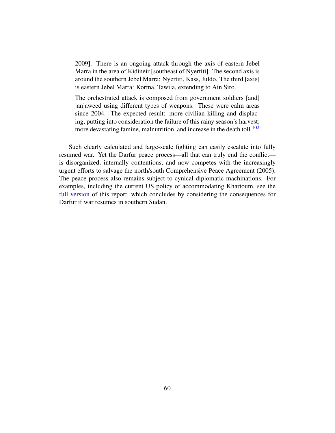2009]. There is an ongoing attack through the axis of eastern Jebel Marra in the area of Kidineir [southeast of Nyertiti]. The second axis is around the southern Jebel Marra: Nyertiti, Kass, Juldo. The third [axis] is eastern Jebel Marra: Korma, Tawila, extending to Ain Siro.

The orchestrated attack is composed from government soldiers [and] janjaweed using different types of weapons. These were calm areas since 2004. The expected result: more civilian killing and displacing, putting into consideration the failure of this rainy season's harvest; more devastating famine, malnutrition, and increase in the death toll. $102$ 

Such clearly calculated and large-scale fighting can easily escalate into fully resumed war. Yet the Darfur peace process—all that can truly end the conflict is disorganized, internally contentious, and now competes with the increasingly urgent efforts to salvage the north/south Comprehensive Peace Agreement (2005). The peace process also remains subject to cynical diplomatic machinations. For examples, including the current US policy of accommodating Khartoum, see the [full version](http://www.sudanreeves.org/2010/01/17/civilians-at-risk-human-security-and-humanitarian-aid-in-darfur/) of this report, which concludes by considering the consequences for Darfur if war resumes in southern Sudan.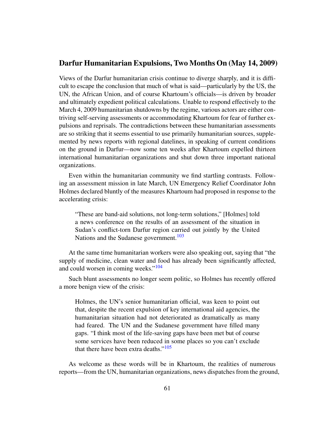## Darfur Humanitarian Expulsions, Two Months On (May 14, 2009)

Views of the Darfur humanitarian crisis continue to diverge sharply, and it is difficult to escape the conclusion that much of what is said—particularly by the US, the UN, the African Union, and of course Khartoum's officials—is driven by broader and ultimately expedient political calculations. Unable to respond effectively to the March 4, 2009 humanitarian shutdowns by the regime, various actors are either contriving self-serving assessments or accommodating Khartoum for fear of further expulsions and reprisals. The contradictions between these humanitarian assessments are so striking that it seems essential to use primarily humanitarian sources, supplemented by news reports with regional datelines, in speaking of current conditions on the ground in Darfur—now some ten weeks after Khartoum expelled thirteen international humanitarian organizations and shut down three important national organizations.

Even within the humanitarian community we find startling contrasts. Following an assessment mission in late March, UN Emergency Relief Coordinator John Holmes declared bluntly of the measures Khartoum had proposed in response to the accelerating crisis:

"These are band-aid solutions, not long-term solutions," [Holmes] told a news conference on the results of an assessment of the situation in Sudan's conflict-torn Darfur region carried out jointly by the United Nations and the Sudanese government.<sup>[103](#page-78-17)</sup>

At the same time humanitarian workers were also speaking out, saying that "the supply of medicine, clean water and food has already been significantly affected, and could worsen in coming weeks." $104$ 

Such blunt assessments no longer seem politic, so Holmes has recently offered a more benign view of the crisis:

Holmes, the UN's senior humanitarian official, was keen to point out that, despite the recent expulsion of key international aid agencies, the humanitarian situation had not deteriorated as dramatically as many had feared. The UN and the Sudanese government have filled many gaps. "I think most of the life-saving gaps have been met but of course some services have been reduced in some places so you can't exclude that there have been extra deaths." $105$ 

As welcome as these words will be in Khartoum, the realities of numerous reports—from the UN, humanitarian organizations, news dispatches from the ground,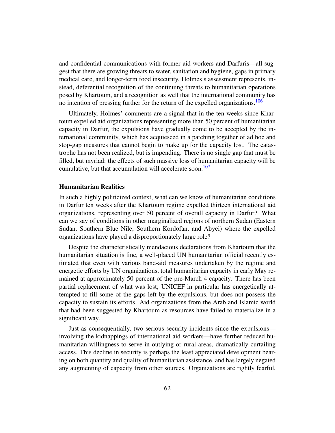and confidential communications with former aid workers and Darfuris—all suggest that there are growing threats to water, sanitation and hygiene, gaps in primary medical care, and longer-term food insecurity. Holmes's assessment represents, instead, deferential recognition of the continuing threats to humanitarian operations posed by Khartoum, and a recognition as well that the international community has no intention of pressing further for the return of the expelled organizations.<sup>[106](#page-78-20)</sup>

Ultimately, Holmes' comments are a signal that in the ten weeks since Khartoum expelled aid organizations representing more than 50 percent of humanitarian capacity in Darfur, the expulsions have gradually come to be accepted by the international community, which has acquiesced in a patching together of ad hoc and stop-gap measures that cannot begin to make up for the capacity lost. The catastrophe has not been realized, but is impending. There is no single gap that must be filled, but myriad: the effects of such massive loss of humanitarian capacity will be cumulative, but that accumulation will accelerate soon.<sup>[107](#page-78-21)</sup>

### Humanitarian Realities

In such a highly politicized context, what can we know of humanitarian conditions in Darfur ten weeks after the Khartoum regime expelled thirteen international aid organizations, representing over 50 percent of overall capacity in Darfur? What can we say of conditions in other marginalized regions of northern Sudan (Eastern Sudan, Southern Blue Nile, Southern Kordofan, and Abyei) where the expelled organizations have played a disproportionately large role?

Despite the characteristically mendacious declarations from Khartoum that the humanitarian situation is fine, a well-placed UN humanitarian official recently estimated that even with various band-aid measures undertaken by the regime and energetic efforts by UN organizations, total humanitarian capacity in early May remained at approximately 50 percent of the pre-March 4 capacity. There has been partial replacement of what was lost; UNICEF in particular has energetically attempted to fill some of the gaps left by the expulsions, but does not possess the capacity to sustain its efforts. Aid organizations from the Arab and Islamic world that had been suggested by Khartoum as resources have failed to materialize in a significant way.

Just as consequentially, two serious security incidents since the expulsions involving the kidnappings of international aid workers—have further reduced humanitarian willingness to serve in outlying or rural areas, dramatically curtailing access. This decline in security is perhaps the least appreciated development bearing on both quantity and quality of humanitarian assistance, and has largely negated any augmenting of capacity from other sources. Organizations are rightly fearful,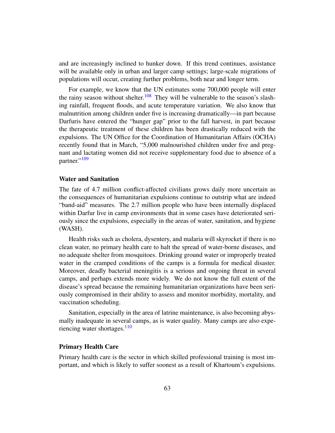and are increasingly inclined to hunker down. If this trend continues, assistance will be available only in urban and larger camp settings; large-scale migrations of populations will occur, creating further problems, both near and longer term.

For example, we know that the UN estimates some 700,000 people will enter the rainy season without shelter.<sup>[108](#page-79-0)</sup> They will be vulnerable to the season's slashing rainfall, frequent floods, and acute temperature variation. We also know that malnutrition among children under five is increasing dramatically—in part because Darfuris have entered the "hunger gap" prior to the fall harvest, in part because the therapeutic treatment of these children has been drastically reduced with the expulsions. The UN Office for the Coordination of Humanitarian Affairs (OCHA) recently found that in March, "5,000 malnourished children under five and pregnant and lactating women did not receive supplementary food due to absence of a partner."<sup>[109](#page-79-1)</sup>

#### Water and Sanitation

The fate of 4.7 million conflict-affected civilians grows daily more uncertain as the consequences of humanitarian expulsions continue to outstrip what are indeed "band-aid" measures. The 2.7 million people who have been internally displaced within Darfur live in camp environments that in some cases have deteriorated seriously since the expulsions, especially in the areas of water, sanitation, and hygiene (WASH).

Health risks such as cholera, dysentery, and malaria will skyrocket if there is no clean water, no primary health care to halt the spread of water-borne diseases, and no adequate shelter from mosquitoes. Drinking ground water or improperly treated water in the cramped conditions of the camps is a formula for medical disaster. Moreover, deadly bacterial meningitis is a serious and ongoing threat in several camps, and perhaps extends more widely. We do not know the full extent of the disease's spread because the remaining humanitarian organizations have been seriously compromised in their ability to assess and monitor morbidity, mortality, and vaccination scheduling.

Sanitation, especially in the area of latrine maintenance, is also becoming abysmally inadequate in several camps, as is water quality. Many camps are also experiencing water shortages.  $\frac{110}{10}$  $\frac{110}{10}$  $\frac{110}{10}$ 

#### Primary Health Care

Primary health care is the sector in which skilled professional training is most important, and which is likely to suffer soonest as a result of Khartoum's expulsions.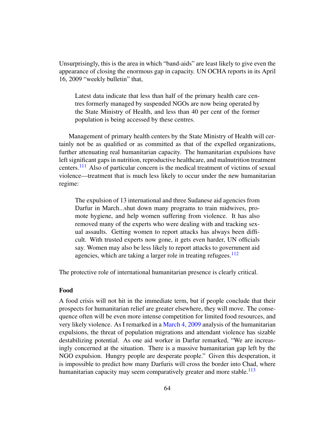Unsurprisingly, this is the area in which "band-aids" are least likely to give even the appearance of closing the enormous gap in capacity. UN OCHA reports in its April 16, 2009 "weekly bulletin" that,

Latest data indicate that less than half of the primary health care centres formerly managed by suspended NGOs are now being operated by the State Ministry of Health, and less than 40 per cent of the former population is being accessed by these centres.

Management of primary health centers by the State Ministry of Health will certainly not be as qualified or as committed as that of the expelled organizations, further attenuating real humanitarian capacity. The humanitarian expulsions have left significant gaps in nutrition, reproductive healthcare, and malnutrition treatment centers.[111](#page-79-3) Also of particular concern is the medical treatment of victims of sexual violence—treatment that is much less likely to occur under the new humanitarian regime:

The expulsion of 13 international and three Sudanese aid agencies from Darfur in March...shut down many programs to train midwives, promote hygiene, and help women suffering from violence. It has also removed many of the experts who were dealing with and tracking sexual assaults. Getting women to report attacks has always been difficult. With trusted experts now gone, it gets even harder, UN officials say. Women may also be less likely to report attacks to government aid agencies, which are taking a larger role in treating refugees.  $112$ 

The protective role of international humanitarian presence is clearly critical.

## Food

A food crisis will not hit in the immediate term, but if people conclude that their prospects for humanitarian relief are greater elsewhere, they will move. The consequence often will be even more intense competition for limited food resources, and very likely violence. As I remarked in a [March 4, 2009](http://www.sudanreeves.org/Article240.html) analysis of the humanitarian expulsions, the threat of population migrations and attendant violence has sizable destabilizing potential. As one aid worker in Darfur remarked, "We are increasingly concerned at the situation. There is a massive humanitarian gap left by the NGO expulsion. Hungry people are desperate people." Given this desperation, it is impossible to predict how many Darfuris will cross the border into Chad, where humanitarian capacity may seem comparatively greater and more stable.<sup>[113](#page-79-5)</sup>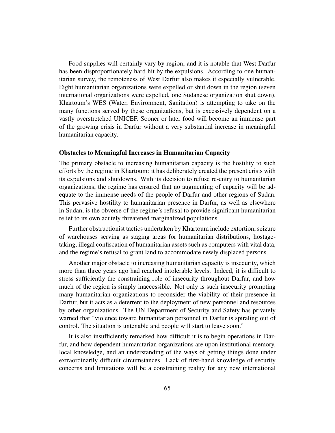Food supplies will certainly vary by region, and it is notable that West Darfur has been disproportionately hard hit by the expulsions. According to one humanitarian survey, the remoteness of West Darfur also makes it especially vulnerable. Eight humanitarian organizations were expelled or shut down in the region (seven international organizations were expelled, one Sudanese organization shut down). Khartoum's WES (Water, Environment, Sanitation) is attempting to take on the many functions served by these organizations, but is excessively dependent on a vastly overstretched UNICEF. Sooner or later food will become an immense part of the growing crisis in Darfur without a very substantial increase in meaningful humanitarian capacity.

#### Obstacles to Meaningful Increases in Humanitarian Capacity

The primary obstacle to increasing humanitarian capacity is the hostility to such efforts by the regime in Khartoum: it has deliberately created the present crisis with its expulsions and shutdowns. With its decision to refuse re-entry to humanitarian organizations, the regime has ensured that no augmenting of capacity will be adequate to the immense needs of the people of Darfur and other regions of Sudan. This pervasive hostility to humanitarian presence in Darfur, as well as elsewhere in Sudan, is the obverse of the regime's refusal to provide significant humanitarian relief to its own acutely threatened marginalized populations.

Further obstructionist tactics undertaken by Khartoum include extortion, seizure of warehouses serving as staging areas for humanitarian distributions, hostagetaking, illegal confiscation of humanitarian assets such as computers with vital data, and the regime's refusal to grant land to accommodate newly displaced persons.

Another major obstacle to increasing humanitarian capacity is insecurity, which more than three years ago had reached intolerable levels. Indeed, it is difficult to stress sufficiently the constraining role of insecurity throughout Darfur, and how much of the region is simply inaccessible. Not only is such insecurity prompting many humanitarian organizations to reconsider the viability of their presence in Darfur, but it acts as a deterrent to the deployment of new personnel and resources by other organizations. The UN Department of Security and Safety has privately warned that "violence toward humanitarian personnel in Darfur is spiraling out of control. The situation is untenable and people will start to leave soon."

It is also insufficiently remarked how difficult it is to begin operations in Darfur, and how dependent humanitarian organizations are upon institutional memory, local knowledge, and an understanding of the ways of getting things done under extraordinarily difficult circumstances. Lack of first-hand knowledge of security concerns and limitations will be a constraining reality for any new international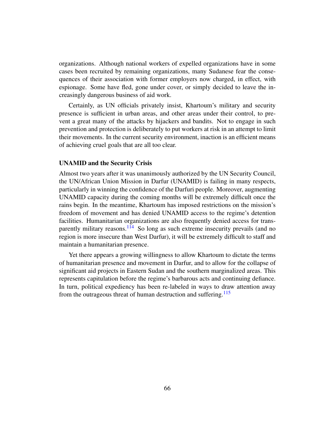organizations. Although national workers of expelled organizations have in some cases been recruited by remaining organizations, many Sudanese fear the consequences of their association with former employers now charged, in effect, with espionage. Some have fled, gone under cover, or simply decided to leave the increasingly dangerous business of aid work.

Certainly, as UN officials privately insist, Khartoum's military and security presence is sufficient in urban areas, and other areas under their control, to prevent a great many of the attacks by hijackers and bandits. Not to engage in such prevention and protection is deliberately to put workers at risk in an attempt to limit their movements. In the current security environment, inaction is an efficient means of achieving cruel goals that are all too clear.

## UNAMID and the Security Crisis

Almost two years after it was unanimously authorized by the UN Security Council, the UN/African Union Mission in Darfur (UNAMID) is failing in many respects, particularly in winning the confidence of the Darfuri people. Moreover, augmenting UNAMID capacity during the coming months will be extremely difficult once the rains begin. In the meantime, Khartoum has imposed restrictions on the mission's freedom of movement and has denied UNAMID access to the regime's detention facilities. Humanitarian organizations are also frequently denied access for trans-parently military reasons.<sup>[114](#page-79-6)</sup> So long as such extreme insecurity prevails (and no region is more insecure than West Darfur), it will be extremely difficult to staff and maintain a humanitarian presence.

Yet there appears a growing willingness to allow Khartoum to dictate the terms of humanitarian presence and movement in Darfur, and to allow for the collapse of significant aid projects in Eastern Sudan and the southern marginalized areas. This represents capitulation before the regime's barbarous acts and continuing defiance. In turn, political expediency has been re-labeled in ways to draw attention away from the outrageous threat of human destruction and suffering.<sup>[115](#page-79-7)</sup>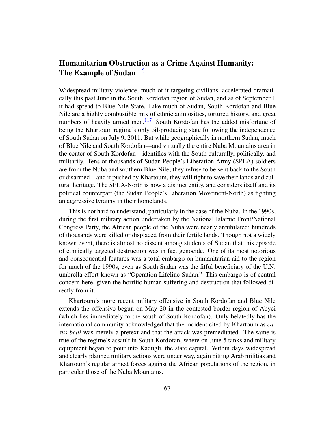## Humanitarian Obstruction as a Crime Against Humanity: The Example of Sudan<sup>[116](#page-79-8)</sup>

Widespread military violence, much of it targeting civilians, accelerated dramatically this past June in the South Kordofan region of Sudan, and as of September 1 it had spread to Blue Nile State. Like much of Sudan, South Kordofan and Blue Nile are a highly combustible mix of ethnic animosities, tortured history, and great numbers of heavily armed men.<sup>[117](#page-79-9)</sup> South Kordofan has the added misfortune of being the Khartoum regime's only oil-producing state following the independence of South Sudan on July 9, 2011. But while geographically in northern Sudan, much of Blue Nile and South Kordofan—and virtually the entire Nuba Mountains area in the center of South Kordofan—identifies with the South culturally, politically, and militarily. Tens of thousands of Sudan People's Liberation Army (SPLA) soldiers are from the Nuba and southern Blue Nile; they refuse to be sent back to the South or disarmed—and if pushed by Khartoum, they will fight to save their lands and cultural heritage. The SPLA-North is now a distinct entity, and considers itself and its political counterpart (the Sudan People's Liberation Movement-North) as fighting an aggressive tyranny in their homelands.

This is not hard to understand, particularly in the case of the Nuba. In the 1990s, during the first military action undertaken by the National Islamic Front/National Congress Party, the African people of the Nuba were nearly annihilated; hundreds of thousands were killed or displaced from their fertile lands. Though not a widely known event, there is almost no dissent among students of Sudan that this episode of ethnically targeted destruction was in fact genocide. One of its most notorious and consequential features was a total embargo on humanitarian aid to the region for much of the 1990s, even as South Sudan was the fitful beneficiary of the U.N. umbrella effort known as "Operation Lifeline Sudan." This embargo is of central concern here, given the horrific human suffering and destruction that followed directly from it.

Khartoum's more recent military offensive in South Kordofan and Blue Nile extends the offensive begun on May 20 in the contested border region of Abyei (which lies immediately to the south of South Kordofan). Only belatedly has the international community acknowledged that the incident cited by Khartoum as *casus belli* was merely a pretext and that the attack was premeditated. The same is true of the regime's assault in South Kordofan, where on June 5 tanks and military equipment began to pour into Kadugli, the state capital. Within days widespread and clearly planned military actions were under way, again pitting Arab militias and Khartoum's regular armed forces against the African populations of the region, in particular those of the Nuba Mountains.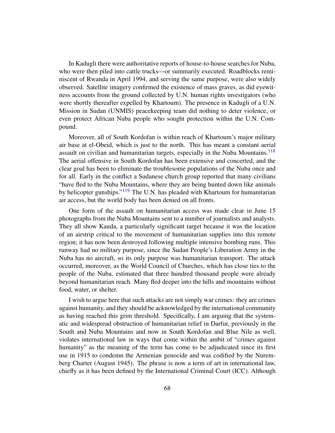In Kadugli there were authoritative reports of house-to-house searches for Nuba, who were then piled into cattle trucks—or summarily executed. Roadblocks reminiscent of Rwanda in April 1994, and serving the same purpose, were also widely observed. Satellite imagery confirmed the existence of mass graves, as did eyewitness accounts from the ground collected by U.N. human rights investigators (who were shortly thereafter expelled by Khartoum). The presence in Kadugli of a U.N. Mission in Sudan (UNMIS) peacekeeping team did nothing to deter violence, or even protect African Nuba people who sought protection within the U.N. Compound.

Moreover, all of South Kordofan is within reach of Khartoum's major military air base at el-Obeid, which is just to the north. This has meant a constant aerial assault on civilian and humanitarian targets, especially in the Nuba Mountains.<sup>[118](#page-79-10)</sup> The aerial offensive in South Kordofan has been extensive and concerted, and the clear goal has been to eliminate the troublesome populations of the Nuba once and for all. Early in the conflict a Sudanese church group reported that many civilians "have fled to the Nuba Mountains, where they are being hunted down like animals by helicopter gunships."<sup>[119](#page-79-11)</sup> The U.N. has pleaded with Khartoum for humanitarian air access, but the world body has been denied on all fronts.

One form of the assault on humanitarian access was made clear in June 15 photographs from the Nuba Mountains sent to a number of journalists and analysts. They all show Kauda, a particularly significant target because it was the location of an airstrip critical to the movement of humanitarian supplies into this remote region; it has now been destroyed following multiple intensive bombing runs. This runway had no military purpose, since the Sudan People's Liberation Army in the Nuba has no aircraft, so its only purpose was humanitarian transport. The attack occurred, moreover, as the World Council of Churches, which has close ties to the people of the Nuba, estimated that three hundred thousand people were already beyond humanitarian reach. Many fled deeper into the hills and mountains without food, water, or shelter.

I wish to argue here that such attacks are not simply war crimes: they are crimes against humanity, and they should be acknowledged by the international community as having reached this grim threshold. Specifically, I am arguing that the systematic and widespread obstruction of humanitarian relief in Darfur, previously in the South and Nuba Mountains and now in South Kordofan and Blue Nile as well, violates international law in ways that come within the ambit of "crimes against humanity" as the meaning of the term has come to be adjudicated since its first use in 1915 to condemn the Armenian genocide and was codified by the Nuremberg Charter (August 1945). The phrase is now a term of art in international law, chiefly as it has been defined by the International Criminal Court (ICC). Although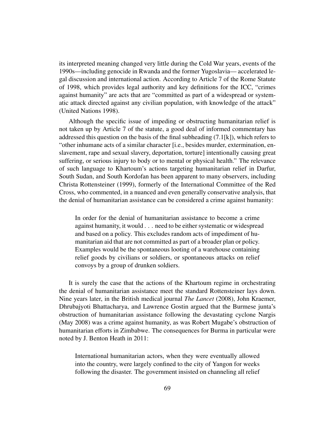its interpreted meaning changed very little during the Cold War years, events of the 1990s—including genocide in Rwanda and the former Yugoslavia— accelerated legal discussion and international action. According to Article 7 of the Rome Statute of 1998, which provides legal authority and key definitions for the ICC, "crimes against humanity" are acts that are "committed as part of a widespread or systematic attack directed against any civilian population, with knowledge of the attack" (United Nations 1998).

Although the specific issue of impeding or obstructing humanitarian relief is not taken up by Article 7 of the statute, a good deal of informed commentary has addressed this question on the basis of the final subheading (7.1[k]), which refers to "other inhumane acts of a similar character [i.e., besides murder, extermination, enslavement, rape and sexual slavery, deportation, torture] intentionally causing great suffering, or serious injury to body or to mental or physical health." The relevance of such language to Khartoum's actions targeting humanitarian relief in Darfur, South Sudan, and South Kordofan has been apparent to many observers, including Christa Rottensteiner (1999), formerly of the International Committee of the Red Cross, who commented, in a nuanced and even generally conservative analysis, that the denial of humanitarian assistance can be considered a crime against humanity:

In order for the denial of humanitarian assistance to become a crime against humanity, it would . . . need to be either systematic or widespread and based on a policy. This excludes random acts of impediment of humanitarian aid that are not committed as part of a broader plan or policy. Examples would be the spontaneous looting of a warehouse containing relief goods by civilians or soldiers, or spontaneous attacks on relief convoys by a group of drunken soldiers.

It is surely the case that the actions of the Khartoum regime in orchestrating the denial of humanitarian assistance meet the standard Rottensteiner lays down. Nine years later, in the British medical journal *The Lancet* (2008), John Kraemer, Dhrubajyoti Bhattacharya, and Lawrence Gostin argued that the Burmese junta's obstruction of humanitarian assistance following the devastating cyclone Nargis (May 2008) was a crime against humanity, as was Robert Mugabe's obstruction of humanitarian efforts in Zimbabwe. The consequences for Burma in particular were noted by J. Benton Heath in 2011:

International humanitarian actors, when they were eventually allowed into the country, were largely confined to the city of Yangon for weeks following the disaster. The government insisted on channeling all relief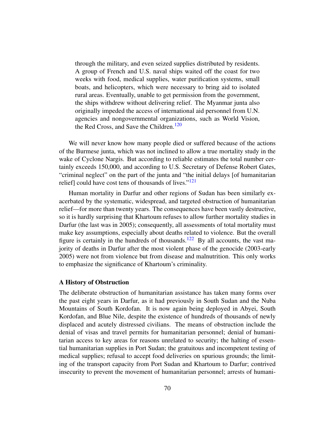through the military, and even seized supplies distributed by residents. A group of French and U.S. naval ships waited off the coast for two weeks with food, medical supplies, water purification systems, small boats, and helicopters, which were necessary to bring aid to isolated rural areas. Eventually, unable to get permission from the government, the ships withdrew without delivering relief. The Myanmar junta also originally impeded the access of international aid personnel from U.N. agencies and nongovernmental organizations, such as World Vision, the Red Cross, and Save the Children.<sup>[120](#page-79-12)</sup>

We will never know how many people died or suffered because of the actions of the Burmese junta, which was not inclined to allow a true mortality study in the wake of Cyclone Nargis. But according to reliable estimates the total number certainly exceeds 150,000, and according to U.S. Secretary of Defense Robert Gates, "criminal neglect" on the part of the junta and "the initial delays [of humanitarian relief] could have cost tens of thousands of lives." $121$ 

Human mortality in Darfur and other regions of Sudan has been similarly exacerbated by the systematic, widespread, and targeted obstruction of humanitarian relief—for more than twenty years. The consequences have been vastly destructive, so it is hardly surprising that Khartoum refuses to allow further mortality studies in Darfur (the last was in 2005); consequently, all assessments of total mortality must make key assumptions, especially about deaths related to violence. But the overall figure is certainly in the hundreds of thousands.<sup>[122](#page-79-14)</sup> By all accounts, the vast majority of deaths in Darfur after the most violent phase of the genocide (2003-early 2005) were not from violence but from disease and malnutrition. This only works to emphasize the significance of Khartoum's criminality.

#### A History of Obstruction

The deliberate obstruction of humanitarian assistance has taken many forms over the past eight years in Darfur, as it had previously in South Sudan and the Nuba Mountains of South Kordofan. It is now again being deployed in Abyei, South Kordofan, and Blue Nile, despite the existence of hundreds of thousands of newly displaced and acutely distressed civilians. The means of obstruction include the denial of visas and travel permits for humanitarian personnel; denial of humanitarian access to key areas for reasons unrelated to security; the halting of essential humanitarian supplies in Port Sudan; the gratuitous and incompetent testing of medical supplies; refusal to accept food deliveries on spurious grounds; the limiting of the transport capacity from Port Sudan and Khartoum to Darfur; contrived insecurity to prevent the movement of humanitarian personnel; arrests of humani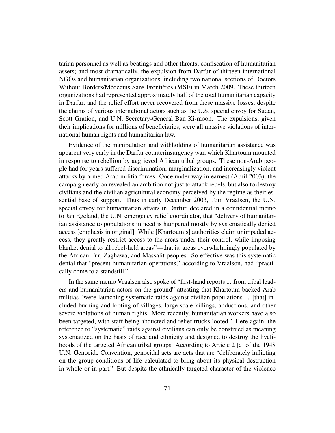tarian personnel as well as beatings and other threats; confiscation of humanitarian assets; and most dramatically, the expulsion from Darfur of thirteen international NGOs and humanitarian organizations, including two national sections of Doctors Without Borders/Médecins Sans Frontières (MSF) in March 2009. These thirteen organizations had represented approximately half of the total humanitarian capacity in Darfur, and the relief effort never recovered from these massive losses, despite the claims of various international actors such as the U.S. special envoy for Sudan, Scott Gration, and U.N. Secretary-General Ban Ki-moon. The expulsions, given their implications for millions of beneficiaries, were all massive violations of international human rights and humanitarian law.

Evidence of the manipulation and withholding of humanitarian assistance was apparent very early in the Darfur counterinsurgency war, which Khartoum mounted in response to rebellion by aggrieved African tribal groups. These non-Arab people had for years suffered discrimination, marginalization, and increasingly violent attacks by armed Arab militia forces. Once under way in earnest (April 2003), the campaign early on revealed an ambition not just to attack rebels, but also to destroy civilians and the civilian agricultural economy perceived by the regime as their essential base of support. Thus in early December 2003, Tom Vraalsen, the U.N. special envoy for humanitarian affairs in Darfur, declared in a confidential memo to Jan Egeland, the U.N. emergency relief coordinator, that "delivery of humanitarian assistance to populations in need is hampered mostly by systematically denied access [emphasis in original]. While [Khartoum's] authorities claim unimpeded access, they greatly restrict access to the areas under their control, while imposing blanket denial to all rebel-held areas"—that is, areas overwhelmingly populated by the African Fur, Zaghawa, and Massalit peoples. So effective was this systematic denial that "present humanitarian operations," according to Vraalson, had "practically come to a standstill."

In the same memo Vraalsen also spoke of "first-hand reports ... from tribal leaders and humanitarian actors on the ground" attesting that Khartoum-backed Arab militias "were launching systematic raids against civilian populations ... [that] included burning and looting of villages, large-scale killings, abductions, and other severe violations of human rights. More recently, humanitarian workers have also been targeted, with staff being abducted and relief trucks looted." Here again, the reference to "systematic" raids against civilians can only be construed as meaning systematized on the basis of race and ethnicity and designed to destroy the livelihoods of the targeted African tribal groups. According to Article 2 [c] of the 1948 U.N. Genocide Convention, genocidal acts are acts that are "deliberately inflicting on the group conditions of life calculated to bring about its physical destruction in whole or in part." But despite the ethnically targeted character of the violence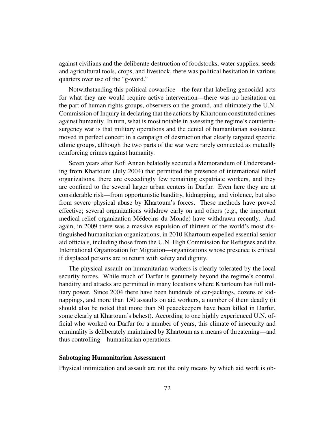against civilians and the deliberate destruction of foodstocks, water supplies, seeds and agricultural tools, crops, and livestock, there was political hesitation in various quarters over use of the "g-word."

Notwithstanding this political cowardice—the fear that labeling genocidal acts for what they are would require active intervention—there was no hesitation on the part of human rights groups, observers on the ground, and ultimately the U.N. Commission of Inquiry in declaring that the actions by Khartoum constituted crimes against humanity. In turn, what is most notable in assessing the regime's counterinsurgency war is that military operations and the denial of humanitarian assistance moved in perfect concert in a campaign of destruction that clearly targeted specific ethnic groups, although the two parts of the war were rarely connected as mutually reinforcing crimes against humanity.

Seven years after Kofi Annan belatedly secured a Memorandum of Understanding from Khartoum (July 2004) that permitted the presence of international relief organizations, there are exceedingly few remaining expatriate workers, and they are confined to the several larger urban centers in Darfur. Even here they are at considerable risk—from opportunistic banditry, kidnapping, and violence, but also from severe physical abuse by Khartoum's forces. These methods have proved effective; several organizations withdrew early on and others (e.g., the important medical relief organization Médecins du Monde) have withdrawn recently. And again, in 2009 there was a massive expulsion of thirteen of the world's most distinguished humanitarian organizations; in 2010 Khartoum expelled essential senior aid officials, including those from the U.N. High Commission for Refugees and the International Organization for Migration—organizations whose presence is critical if displaced persons are to return with safety and dignity.

The physical assault on humanitarian workers is clearly tolerated by the local security forces. While much of Darfur is genuinely beyond the regime's control, banditry and attacks are permitted in many locations where Khartoum has full military power. Since 2004 there have been hundreds of car-jackings, dozens of kidnappings, and more than 150 assaults on aid workers, a number of them deadly (it should also be noted that more than 50 peacekeepers have been killed in Darfur, some clearly at Khartoum's behest). According to one highly experienced U.N. official who worked on Darfur for a number of years, this climate of insecurity and criminality is deliberately maintained by Khartoum as a means of threatening—and thus controlling—humanitarian operations.

### Sabotaging Humanitarian Assessment

Physical intimidation and assault are not the only means by which aid work is ob-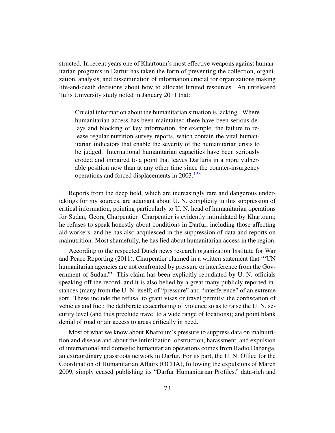structed. In recent years one of Khartoum's most effective weapons against humanitarian programs in Darfur has taken the form of preventing the collection, organization, analysis, and dissemination of information crucial for organizations making life-and-death decisions about how to allocate limited resources. An unreleased Tufts University study noted in January 2011 that:

<span id="page-72-0"></span>Crucial information about the humanitarian situation is lacking...Where humanitarian access has been maintained there have been serious delays and blocking of key information, for example, the failure to release regular nutrition survey reports, which contain the vital humanitarian indicators that enable the severity of the humanitarian crisis to be judged. International humanitarian capacities have been seriously eroded and impaired to a point that leaves Darfuris in a more vulnerable position now than at any other time since the counter-insurgency operations and forced displacements in 2003.<sup>[123](#page-79-0)</sup>

Reports from the deep field, which are increasingly rare and dangerous undertakings for my sources, are adamant about U. N. complicity in this suppression of critical information, pointing particularly to U. N. head of humanitarian operations for Sudan, Georg Charpentier. Charpentier is evidently intimidated by Khartoum; he refuses to speak honestly about conditions in Darfur, including those affecting aid workers, and he has also acquiesced in the suppression of data and reports on malnutrition. Most shamefully, he has lied about humanitarian access in the region.

According to the respected Dutch news research organization Institute for War and Peace Reporting (2011), Charpentier claimed in a written statement that "'UN humanitarian agencies are not confronted by pressure or interference from the Government of Sudan."' This claim has been explicitly repudiated by U. N. officials speaking off the record, and it is also belied by a great many publicly reported instances (many from the U. N. itself) of "pressure" and "interference" of an extreme sort. These include the refusal to grant visas or travel permits; the confiscation of vehicles and fuel; the deliberate exacerbating of violence so as to raise the U. N. security level (and thus preclude travel to a wide range of locations); and point blank denial of road or air access to areas critically in need.

Most of what we know about Khartoum's pressure to suppress data on malnutrition and disease and about the intimidation, obstruction, harassment, and expulsion of international and domestic humanitarian operations comes from Radio Dabanga, an extraordinary grassroots network in Darfur. For its part, the U. N. Office for the Coordination of Humanitarian Affairs (OCHA), following the expulsions of March 2009, simply ceased publishing its "Darfur Humanitarian Profiles," data-rich and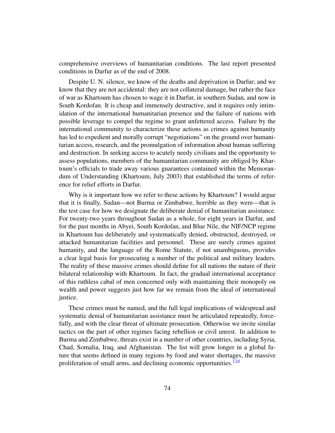comprehensive overviews of humanitarian conditions. The last report presented conditions in Darfur as of the end of 2008.

Despite U. N. silence, we know of the deaths and deprivation in Darfur; and we know that they are not accidental: they are not collateral damage, but rather the face of war as Khartoum has chosen to wage it in Darfur, in southern Sudan, and now in South Kordofan. It is cheap and immensely destructive, and it requires only intimidation of the international humanitarian presence and the failure of nations with possible leverage to compel the regime to grant unfettered access. Failure by the international community to characterize these actions as crimes against humanity has led to expedient and morally corrupt "negotiations" on the ground over humanitarian access, research, and the promulgation of information about human suffering and destruction. In seeking access to acutely needy civilians and the opportunity to assess populations, members of the humanitarian community are obliged by Khartoum's officials to trade away various guarantees contained within the Memorandum of Understanding (Khartoum, July 2003) that established the terms of reference for relief efforts in Darfur.

Why is it important how we refer to these actions by Khartoum? I would argue that it is finally, Sudan—not Burma or Zimbabwe, horrible as they were—that is the test case for how we designate the deliberate denial of humanitarian assistance. For twenty-two years throughout Sudan as a whole, for eight years in Darfur, and for the past months in Abyei, South Kordofan, and Blue Nile, the NIF/NCP regime in Khartoum has deliberately and systematically denied, obstructed, destroyed, or attacked humanitarian facilities and personnel. These are surely crimes against humanity, and the language of the Rome Statute, if not unambiguous, provides a clear legal basis for prosecuting a number of the political and military leaders. The reality of these massive crimes should define for all nations the nature of their bilateral relationship with Khartoum. In fact, the gradual international acceptance of this ruthless cabal of men concerned only with maintaining their monopoly on wealth and power suggests just how far we remain from the ideal of international justice.

<span id="page-73-0"></span>These crimes must be named, and the full legal implications of widespread and systematic denial of humanitarian assistance must be articulated repeatedly, forcefully, and with the clear threat of ultimate prosecution. Otherwise we invite similar tactics on the part of other regimes facing rebellion or civil unrest. In addition to Burma and Zimbabwe, threats exist in a number of other countries, including Syria, Chad, Somalia, Iraq, and Afghanistan. The list will grow longer in a global future that seems defined in many regions by food and water shortages, the massive proliferation of small arms, and declining economic opportunities.<sup>[124](#page-79-1)</sup>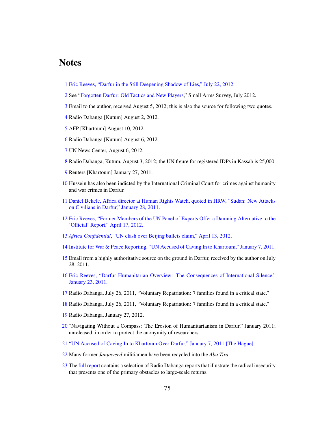## **Notes**

- [Eric Reeves, "Darfur in the Still Deepening Shadow of Lies," July 22, 2012.](http://www.sudanreeves.org/2012/07/22/darfur-moves-yet-deeper-into-the-shadow-of-lies/)
- See ["Forgotten Darfur: Old Tactics and New Players,](http://www.smallarmssurveysudan.org/publications.html)" Small Arms Survey, July 2012.
- Email to the author, received August 5, 2012; this is also the source for following two quotes.
- Radio Dabanga [Kutum] August 2, 2012.
- AFP [Khartoum] August 10, 2012.
- Radio Dabanga [Kutum] August 6, 2012.
- UN News Center, August 6, 2012.
- Radio Dabanga, Kutum, August 3, 2012; the UN figure for registered IDPs in Kassab is 25,000.
- Reuters [Khartoum] January 27, 2011.
- Hussein has also been indicted by the International Criminal Court for crimes against humanity and war crimes in Darfur.
- [Daniel Bekele, Africa director at Human Rights Watch, quoted in HRW, "Sudan: New Attacks](http://www.hrw.org/news/2011/01/28/sudan-new-attacks-civilians-darfur) [on Civilians in Darfur," January 28, 2011.](http://www.hrw.org/news/2011/01/28/sudan-new-attacks-civilians-darfur)
- [Eric Reeves, "Former Members of the UN Panel of Experts Offer a Damning Alternative to the](http://www.sudanreeves.org/2012/04/17/former-members-of-the-un-panel-of-experts-for-darfur-offer-a-damning-alternative-to-the-official-report/) ['Official' Report," April 17, 2012.](http://www.sudanreeves.org/2012/04/17/former-members-of-the-un-panel-of-experts-for-darfur-offer-a-damning-alternative-to-the-official-report/)
- *Africa Confidential*[, "UN clash over Beijing bullets claim," April 13, 2012.](http://www.africa-confidential.com/article-preview/id/4417/UN_clash_over_Beijing_bullets_claim)
- [Institute for War & Peace Reporting, "UN Accused of Caving In to Khartoum," January 7, 2011.](http://iwpr.net/report-news/un-accused-caving-khartoum-over-darfur)
- Email from a highly authoritative source on the ground in Darfur, received by the author on July 28, 2011.
- [Eric Reeves, "Darfur Humanitarian Overview: The Consequences of International Silence,"](http://www.sudanreeves.org/2011/01/23/darfur-humanitarian-overview-the-consequences-of-international-silence/) [January 23, 2011.](http://www.sudanreeves.org/2011/01/23/darfur-humanitarian-overview-the-consequences-of-international-silence/)
- Radio Dabanga, July 26, 2011, "Voluntary Repatriation: 7 families found in a critical state."
- Radio Dabanga, July 26, 2011, "Voluntary Repatriation: 7 families found in a critical state."
- Radio Dabanga, January 27, 2012.
- "Navigating Without a Compass: The Erosion of Humanitarianism in Darfur," January 2011; unreleased, in order to protect the anonymity of researchers.
- ["UN Accused of Caving In to Khartoum Over Darfur," January 7, 2011 \[The Hague\].](http://iwpr.net/report-news/un-accused-caving-khartoum-over-darfur)
- Many former *Janjaweed* militiamen have been recycled into the *Abu Tira*.
- The [full report](http://www.sudanreeves.org/2012/03/02/the-seen-and-the-unseen-in-darfur-recent-reporting-on-violence-insecurity-and-resettlement/) contains a selection of Radio Dabanga reports that illustrate the radical insecurity that presents one of the primary obstacles to large-scale returns.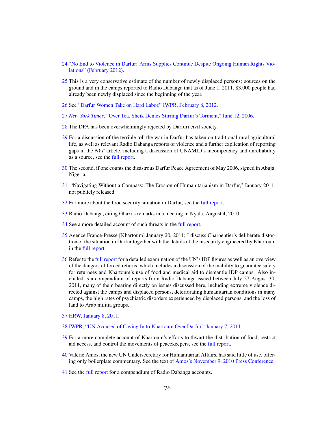- [24](#page-17-2) ["No End to Violence in Darfur: Arms Supplies Continue Despite Ongoing Human Rights Vio](http://www.amnesty.org/en/library/info/AFR54/007/2012)[lations" \(February 2012\).](http://www.amnesty.org/en/library/info/AFR54/007/2012)
- [25](#page-17-3) This is a very conservative estimate of the number of newly displaced persons: sources on the ground and in the camps reported to Radio Dabanga that as of June 1, 2011, 83,000 people had already been newly displaced since the beginning of the year.
- [26](#page-18-0) See ["Darfur Women Take on Hard Labor," IWPR, February 8, 2012.](http://iwpr.net/report-news/darfur-women-take-hard-labour)
- [27](#page-19-0) *New York Times*[, "Over Tea, Sheik Denies Stirring Darfur's Torment," June 12, 2006.](http://www.nytimes.com/2006/06/12/world/africa/12darfur.html?pagewanted=print)
- [28](#page-19-1) The DPA has been overwhelmingly rejected by Darfuri civil society.
- [29](#page-19-2) For a discussion of the terrible toll the war in Darfur has taken on traditional rural agricultural life, as well as relevant Radio Dabanga reports of violence and a further explication of reporting gaps in the *NYT* article, including a discussion of UNAMID's incompetency and unreliability as a source, see the [full report.](http://www.sudanreeves.org/2012/03/02/the-seen-and-the-unseen-in-darfur-recent-reporting-on-violence-insecurity-and-resettlement/)
- [30](#page-20-0) The second, if one counts the disastrous Darfur Peace Agreement of May 2006, signed in Abuja, Nigeria.
- [31](#page-23-0) "Navigating Without a Compass: The Erosion of Humanitarianism in Darfur," January 2011; not publicly released.
- [32](#page-23-1) For more about the food security situation in Darfur, see the [full report.](http://www.sudanreeves.org/2011/08/30/darfur-no-way-forward-from-a-dangerous-and-unsustainable-situation/)
- [33](#page-24-0) Radio Dabanga, citing Ghazi's remarks in a meeting in Nyala, August 4, 2010.
- [34](#page-24-1) See a more detailed account of such threats in the [full report.](http://www.sudanreeves.org/2011/08/30/darfur-no-way-forward-from-a-dangerous-and-unsustainable-situation/)
- [35](#page-25-0) Agence France-Presse [Khartoum] January 20, 2011; I discuss Charpentier's deliberate distortion of the situation in Darfur together with the details of the insecurity engineered by Khartoum in the [full report.](http://www.sudanreeves.org/2011/08/30/darfur-no-way-forward-from-a-dangerous-and-unsustainable-situation/)
- [36](#page-25-1) Refer to the [full report](http://www.sudanreeves.org/2011/08/30/darfur-no-way-forward-from-a-dangerous-and-unsustainable-situation/) for a detailed examination of the UN's IDP figures as well as an overview of the dangers of forced returns, which includes a discussion of the inability to guarantee safety for returnees and Khartoum's use of food and medical aid to dismantle IDP camps. Also included is a compendium of reports from Radio Dabanga issued between July 27-August 30, 2011, many of them bearing directly on issues discussed here, including extreme violence directed against the camps and displaced persons, deteriorating humanitarian conditions in many camps, the high rates of psychiatric disorders experienced by displaced persons, and the loss of land to Arab militia groups.
- [37](#page-26-0) [HRW, January 8, 2011.](http://www.hrw.org/en/news/2011/01/08/sudan-deteriorating-situation-darfur)
- [38](#page-26-1) [IWPR, "UN Accused of Caving In to Khartoum Over Darfur," January 7, 2011.](http://iwpr.net/report-news/un-accused-caving-khartoum-over-darfur)
- [39](#page-27-0) For a more complete account of Khartoum's efforts to thwart the distribution of food, restrict aid access, and control the movements of peacekeepers, see the [full report.](http://www.sudanreeves.org/2011/01/23/darfur-humanitarian-overview-the-consequences-of-international-silence/)
- [40](#page-28-0) Valerie Amos, the new UN Undersecretary for Humanitarian Affairs, has said little of use, offering only boilerplate commentary. See the text of [Amos's November 9, 2010 Press Conference.](http://www.reliefweb.int/rw/rwb.nsf/db900sid/VVOS-8B2MS6?OpenDocument&Click=)
- [41](#page-28-1) See the [full report](http://www.sudanreeves.org/2011/01/23/darfur-humanitarian-overview-the-consequences-of-international-silence/) for a compendium of Radio Dabanga accounts.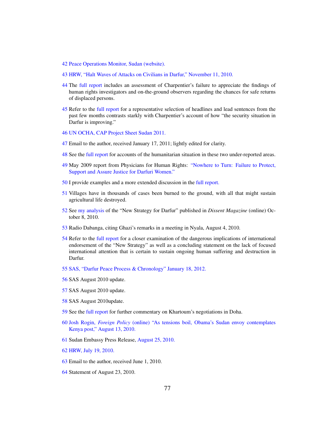- [Peace Operations Monitor, Sudan \(website\).](http://pom.peacebuild.ca/SudanRelief.shtml)
- [HRW, "Halt Waves of Attacks on Civilians in Darfur," November 11, 2010.](http://www.hrw.org/en/news/2010/11/11/sudan-halt-wave-attacks-civilians-darfur)
- The [full report](http://www.sudanreeves.org/2011/01/23/darfur-humanitarian-overview-the-consequences-of-international-silence/) includes an assessment of Charpentier's failure to appreciate the findings of human rights investigators and on-the-ground observers regarding the chances for safe returns of displaced persons.
- Refer to the [full report](http://www.sudanreeves.org/2011/01/23/darfur-humanitarian-overview-the-consequences-of-international-silence/) for a representative selection of headlines and lead sentences from the past few months contrasts starkly with Charpentier's account of how "the security situation in Darfur is improving."
- [UN OCHA, CAP Project Sheet Sudan 2011.](http://www.sudanreeves.org/2011/01/23/darfur-humanitarian-overview-the-consequences-of-international-silence/)
- Email to the author, received January 17, 2011; lightly edited for clarity.
- See the [full report](http://www.sudanreeves.org/2011/01/23/darfur-humanitarian-overview-the-consequences-of-international-silence/) for accounts of the humanitarian situation in these two under-reported areas.
- May 2009 report from Physicians for Human Rights: ["Nowhere to Turn: Failure to Protect,](http://darfuriwomen.phrblog.org/nowhere-to-turn/) [Support and Assure Justice for Darfuri Women."](http://darfuriwomen.phrblog.org/nowhere-to-turn/)
- I provide examples and a more extended discussion in the [full report.](http://www.sudanreeves.org/2011/01/23/darfur-humanitarian-overview-the-consequences-of-international-silence/)
- Villages have in thousands of cases been burned to the ground, with all that might sustain agricultural life destroyed.
- See [my analysis](http://www.sudanreeves.org/Article281.html) of the "New Strategy for Darfur" published in *Dissent Magazine* (online) October 8, 2010.
- Radio Dabanga, citing Ghazi's remarks in a meeting in Nyala, August 4, 2010.
- Refer to the [full report](http://www.sudanreeves.org/2011/01/23/darfur-humanitarian-overview-the-consequences-of-international-silence/) for a closer examination of the dangerous implications of international endorsement of the "New Strategy" as well as a concluding statement on the lack of focused international attention that is certain to sustain ongoing human suffering and destruction in Darfur.
- [SAS, "Darfur Peace Process & Chronology" January 18, 2012.](http://www.smallarmssurveysudan.org/facts-figures-darfur-peace-process.php)
- SAS August 2010 update.
- SAS August 2010 update.
- SAS August 2010update.
- See the [full report](http://www.sudanreeves.org/2011/01/29/darfur-humanitarian-update-august-31-2010/) for further commentary on Khartoum's negotiations in Doha.
- Josh Rogin, *Foreign Policy* [\(online\) "As tensions boil, Obama's Sudan envoy contemplates](http://thecable.foreignpolicy.com/posts/2010/08/13/as_tensions_boil_obama_s_sudan_envoy_contemplates_kenya_post_0 ) [Kenya post," August 13, 2010.](http://thecable.foreignpolicy.com/posts/2010/08/13/as_tensions_boil_obama_s_sudan_envoy_contemplates_kenya_post_0 )
- Sudan Embassy Press Release, [August 25, 2010.](http://www.sudanembassy.org/index.php?mact=News,cntnt01,detail,0&cntnt01articleid=1203&cntnt01returnid=15 )
- [HRW, July 19, 2010.](http://www.hrw.org/en/news/2010/07/19/un-strengthen-civilian-protection-darfur)
- Email to the author, received June 1, 2010.
- Statement of August 23, 2010.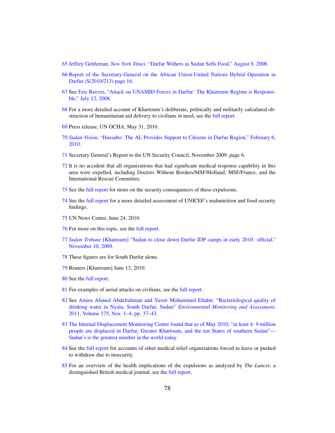Jeffrey Gettleman, *New York Times*[, "Darfur Withers as Sudan Sells Food," August 9, 2008.](http://www.nytimes.com/2008/08/10/world/africa/10sudan.html?_r=2)

- [Report of the Secretary-General on the African Union-United Nations Hybrid Operation in](http://www.reliefweb.int/rw/rwb.nsf/db900SID/EGUA-856QD6?OpenDocument) [Darfur \(S/2010/213\) page 16.](http://www.reliefweb.int/rw/rwb.nsf/db900SID/EGUA-856QD6?OpenDocument)
- See [Eric Reeves, "Attack on UNAMID Forces in Darfur: The Khartoum Regime is Responsi](http://www.sudanreeves.org/Article219.html)[ble," July 12, 2008.](http://www.sudanreeves.org/Article219.html)
- For a more detailed account of Khartoum's deliberate, politically and militarily calculated obstruction of humanitarian aid delivery to civilians in need, see the [full report.](http://www.sudanreeves.org/2010/06/19/humanitarian-conditions-in-darfur-an-overview-part-1/)
- Press release, UN OCHA, May 31, 2010.
- *Sudan Vision*[, "Hassabo: The AL Provides Support to Citizens in Darfur Region," February 6,](http://www.sudanvisiondaily.com/modules.php?name=News&file=article&sid=53739) [2010.](http://www.sudanvisiondaily.com/modules.php?name=News&file=article&sid=53739)
- Secretary General's Report to the UN Security Council, November 2009, page 6.
- It is no accident that all organizations that had significant medical response capability in this area were expelled, including Doctors Without Borders/MSF/Holland, MSF/France, and the International Rescue Committee.
- See the [full report](http://www.sudanreeves.org/2010/06/19/humanitarian-conditions-in-darfur-an-overview-part-1/) for more on the security consequences of these expulsions.
- See the [full report](http://www.sudanreeves.org/2010/06/19/humanitarian-conditions-in-darfur-an-overview-part-1/) for a more detailed assessment of UNICEF's malnutrition and food security findings.
- UN News Center, June 24, 2010.
- For more on this topic, see the [full report.](http://www.sudanreeves.org/2010/07/03/humanitarian-conditions-in-darfur-an-overview-part-2/)
- *Sudan Tribune* [\[Khartoum\] "Sudan to close down Darfur IDP camps in early 2010: official,"](http://www.sudantribune.com/spip.php?article33084) [November 10, 2009.](http://www.sudantribune.com/spip.php?article33084)
- These figures are for South Darfur alone.
- Reuters [Khartoum] June 13, 2010.
- See the [full report.](http://www.sudanreeves.org/2010/07/03/humanitarian-conditions-in-darfur-an-overview-part-2/)
- For examples of aerial attacks on civilians, see the [full report.](http://www.sudanreeves.org/2010/07/03/humanitarian-conditions-in-darfur-an-overview-part-2/)
- See [Amira Ahmed Abdelrahman and Yassir Mohammed Eltahir, "Bacteriological quality of](http://www springerlink.com/content/nq1327x76k773512/) [drinking water in Nyala, South Darfur, Sudan"](http://www springerlink.com/content/nq1327x76k773512/) *Environmental Monitoring and Assessment*, [2011, Volume 175, Nos. 1–4, pp. 37–43.](http://www springerlink.com/content/nq1327x76k773512/)
- [The Internal Displacement Monitoring Centre found that as of May 2010, "at least 4. 9 million](http://www.internal-displacement.org/countries/sudan) [people are displaced in Darfur, Greater Khartoum, and the ten States of southern Sudan"—](http://www.internal-displacement.org/countries/sudan) [Sudan's is the greatest number in the world today.](http://www.internal-displacement.org/countries/sudan)
- See the [full report](http://www.sudanreeves.org/2010/07/03/humanitarian-conditions-in-darfur-an-overview-part-2/) for accounts of other medical relief organizations forced to leave or pushed to withdraw due to insecurity.
- For an overview of the health implications of the expulsions as analyzed by *The Lancet*, a distinguished British medical journal, see the [full report.](http://www.sudanreeves.org/2010/07/03/humanitarian-conditions-in-darfur-an-overview-part-2/)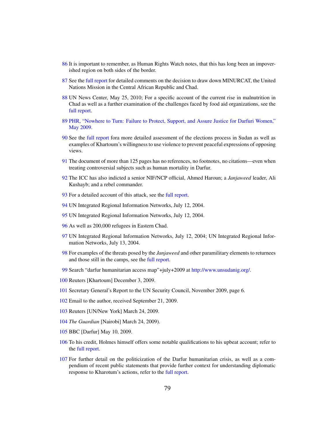- It is important to remember, as Human Rights Watch notes, that this has long been an impoverished region on both sides of the border.
- See the [full report](http://www.sudanreeves.org/2010/07/03/humanitarian-conditions-in-darfur-an-overview-part-2/) for detailed comments on the decision to draw down MINURCAT, the United Nations Mission in the Central African Republic and Chad.
- UN News Center, May 25, 2010; For a specific account of the current rise in malnutrition in Chad as well as a further examination of the challenges faced by food aid organizations, see the [full report.](http://www.sudanreeves.org/2010/07/03/humanitarian-conditions-in-darfur-an-overview-part-2/)
- [PHR, "Nowhere to Turn: Failure to Protect, Support, and Assure Justice for Darfuri Women,"](http://physiciansforhumanrights.org/library/report-2009-05-31.html) [May 2009.](http://physiciansforhumanrights.org/library/report-2009-05-31.html)
- See the [full report](http://www.sudanreeves.org/2010/01/17/civilians-at-risk-human-security-and-humanitarian-aid-in-darfur/) fora more detailed assessment of the elections process in Sudan as well as examples of Khartoum's willingness to use violence to prevent peaceful expressions of opposing views.
- The document of more than 125 pages has no references, no footnotes, no citations—even when treating controversial subjects such as human mortality in Darfur.
- The ICC has also indicted a senior NIF/NCP official, Ahmed Haroun; a *Janjaweed* leader, Ali Kushayb; and a rebel commander.
- For a detailed account of this attack, see the [full report.](http://www.sudanreeves.org/2010/01/17/civilians-at-risk-human-security-and-humanitarian-aid-in-darfur/)
- UN Integrated Regional Information Networks, July 12, 2004.
- UN Integrated Regional Information Networks, July 12, 2004.
- As well as 200,000 refugees in Eastern Chad.
- UN Integrated Regional Information Networks, July 12, 2004; UN Integrated Regional Information Networks, July 13, 2004.
- For examples of the threats posed by the *Janjaweed* and other paramilitary elements to returnees and those still in the camps, see the [full report.](http://www.sudanreeves.org/2010/01/17/civilians-at-risk-human-security-and-humanitarian-aid-in-darfur/)
- Search "darfur humanitarian access map"+july+2009 at [http://www.unsudanig.org/.](http://www.unsudanig.org/)
- Reuters [Khartoum] December 3, 2009.
- Secretary General's Report to the UN Security Council, November 2009, page 6.
- Email to the author, received September 21, 2009.
- Reuters [UN/New York] March 24, 2009.
- *The Guardian* [Nairobi] March 24, 2009).
- BBC [Darfur] May 10, 2009.
- To his credit, Holmes himself offers some notable qualifications to his upbeat account; refer to the [full report.](http://www.sudanreeves.org/2009/05/14/darfur-humanitarian-expulsions-two-months-on/)
- For further detail on the politicization of the Darfur humanitarian crisis, as well as a compendium of recent public statements that provide further context for understanding diplomatic response to Kharotum's actions, refer to the [full report.](http://www.sudanreeves.org/2009/05/14/darfur-humanitarian-expulsions-two-months-on/)